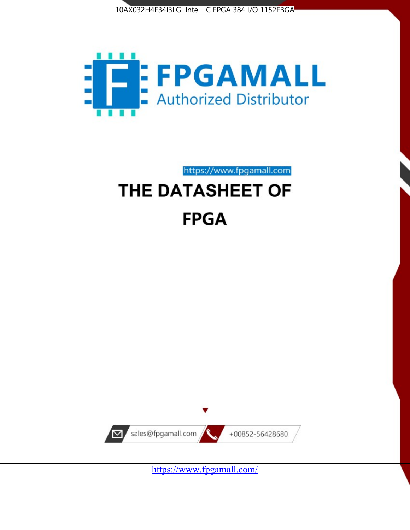



https://www.fpgamall.com THE DATASHEET OF

# **FPGA**



<https://www.fpgamall.com/>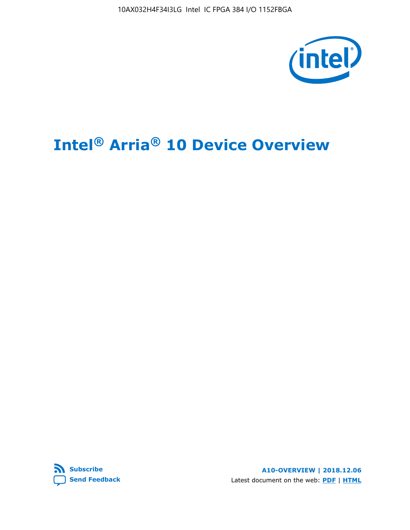

## **Intel® Arria® 10 Device Overview**



**A10-OVERVIEW | 2018.12.06** Latest document on the web: **[PDF](https://www.intel.com/content/dam/www/programmable/us/en/pdfs/literature/hb/arria-10/a10_overview.pdf)** | **[HTML](https://www.intel.com/content/www/us/en/programmable/documentation/sam1403480274650.html)**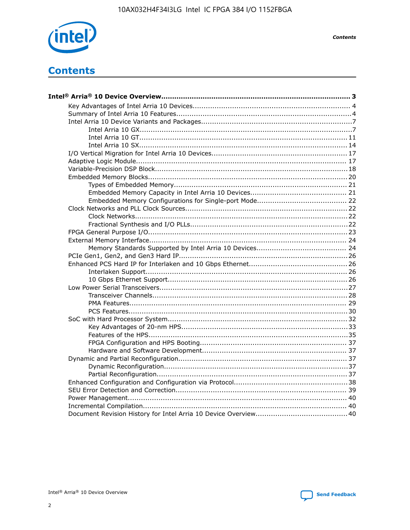

**Contents** 

## **Contents**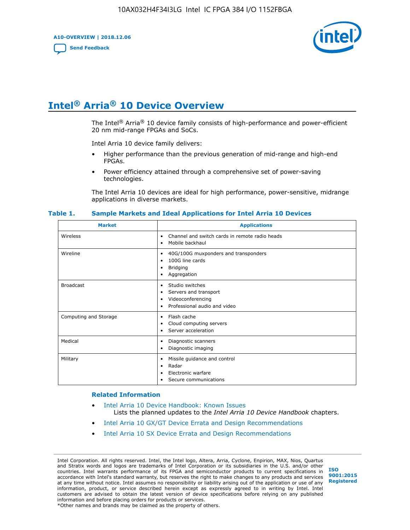**A10-OVERVIEW | 2018.12.06**

**[Send Feedback](mailto:FPGAtechdocfeedback@intel.com?subject=Feedback%20on%20Intel%20Arria%2010%20Device%20Overview%20(A10-OVERVIEW%202018.12.06)&body=We%20appreciate%20your%20feedback.%20In%20your%20comments,%20also%20specify%20the%20page%20number%20or%20paragraph.%20Thank%20you.)**



## **Intel® Arria® 10 Device Overview**

The Intel<sup>®</sup> Arria<sup>®</sup> 10 device family consists of high-performance and power-efficient 20 nm mid-range FPGAs and SoCs.

Intel Arria 10 device family delivers:

- Higher performance than the previous generation of mid-range and high-end FPGAs.
- Power efficiency attained through a comprehensive set of power-saving technologies.

The Intel Arria 10 devices are ideal for high performance, power-sensitive, midrange applications in diverse markets.

| <b>Market</b>         | <b>Applications</b>                                                                                               |
|-----------------------|-------------------------------------------------------------------------------------------------------------------|
| Wireless              | Channel and switch cards in remote radio heads<br>٠<br>Mobile backhaul<br>٠                                       |
| Wireline              | 40G/100G muxponders and transponders<br>٠<br>100G line cards<br>٠<br><b>Bridging</b><br>٠<br>Aggregation<br>٠     |
| <b>Broadcast</b>      | Studio switches<br>٠<br>Servers and transport<br>٠<br>Videoconferencing<br>٠<br>Professional audio and video<br>٠ |
| Computing and Storage | Flash cache<br>٠<br>Cloud computing servers<br>٠<br>Server acceleration<br>٠                                      |
| Medical               | Diagnostic scanners<br>٠<br>Diagnostic imaging<br>٠                                                               |
| Military              | Missile guidance and control<br>٠<br>Radar<br>٠<br>Electronic warfare<br>٠<br>Secure communications<br>٠          |

#### **Table 1. Sample Markets and Ideal Applications for Intel Arria 10 Devices**

#### **Related Information**

- [Intel Arria 10 Device Handbook: Known Issues](http://www.altera.com/support/kdb/solutions/rd07302013_646.html) Lists the planned updates to the *Intel Arria 10 Device Handbook* chapters.
- [Intel Arria 10 GX/GT Device Errata and Design Recommendations](https://www.intel.com/content/www/us/en/programmable/documentation/agz1493851706374.html#yqz1494433888646)
- [Intel Arria 10 SX Device Errata and Design Recommendations](https://www.intel.com/content/www/us/en/programmable/documentation/cru1462832385668.html#cru1462832558642)

Intel Corporation. All rights reserved. Intel, the Intel logo, Altera, Arria, Cyclone, Enpirion, MAX, Nios, Quartus and Stratix words and logos are trademarks of Intel Corporation or its subsidiaries in the U.S. and/or other countries. Intel warrants performance of its FPGA and semiconductor products to current specifications in accordance with Intel's standard warranty, but reserves the right to make changes to any products and services at any time without notice. Intel assumes no responsibility or liability arising out of the application or use of any information, product, or service described herein except as expressly agreed to in writing by Intel. Intel customers are advised to obtain the latest version of device specifications before relying on any published information and before placing orders for products or services. \*Other names and brands may be claimed as the property of others.

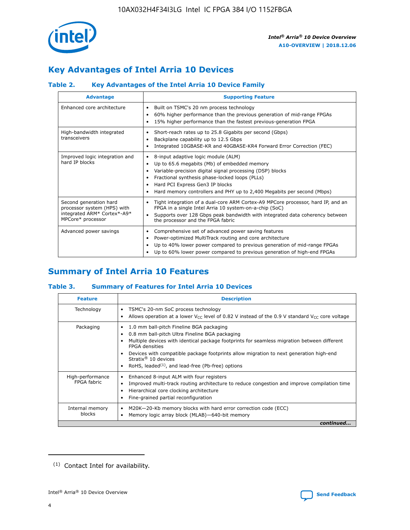

## **Key Advantages of Intel Arria 10 Devices**

#### **Table 2. Key Advantages of the Intel Arria 10 Device Family**

| <b>Advantage</b>                                                                                          | <b>Supporting Feature</b>                                                                                                                                                                                                                                                                                                     |
|-----------------------------------------------------------------------------------------------------------|-------------------------------------------------------------------------------------------------------------------------------------------------------------------------------------------------------------------------------------------------------------------------------------------------------------------------------|
| Enhanced core architecture                                                                                | Built on TSMC's 20 nm process technology<br>٠<br>60% higher performance than the previous generation of mid-range FPGAs<br>٠<br>15% higher performance than the fastest previous-generation FPGA<br>٠                                                                                                                         |
| High-bandwidth integrated<br>transceivers                                                                 | Short-reach rates up to 25.8 Gigabits per second (Gbps)<br>٠<br>Backplane capability up to 12.5 Gbps<br>٠<br>Integrated 10GBASE-KR and 40GBASE-KR4 Forward Error Correction (FEC)<br>٠                                                                                                                                        |
| Improved logic integration and<br>hard IP blocks                                                          | 8-input adaptive logic module (ALM)<br>٠<br>Up to 65.6 megabits (Mb) of embedded memory<br>٠<br>Variable-precision digital signal processing (DSP) blocks<br>Fractional synthesis phase-locked loops (PLLs)<br>٠<br>Hard PCI Express Gen3 IP blocks<br>Hard memory controllers and PHY up to 2,400 Megabits per second (Mbps) |
| Second generation hard<br>processor system (HPS) with<br>integrated ARM* Cortex*-A9*<br>MPCore* processor | Tight integration of a dual-core ARM Cortex-A9 MPCore processor, hard IP, and an<br>٠<br>FPGA in a single Intel Arria 10 system-on-a-chip (SoC)<br>Supports over 128 Gbps peak bandwidth with integrated data coherency between<br>$\bullet$<br>the processor and the FPGA fabric                                             |
| Advanced power savings                                                                                    | Comprehensive set of advanced power saving features<br>٠<br>Power-optimized MultiTrack routing and core architecture<br>٠<br>Up to 40% lower power compared to previous generation of mid-range FPGAs<br>٠<br>Up to 60% lower power compared to previous generation of high-end FPGAs                                         |

## **Summary of Intel Arria 10 Features**

#### **Table 3. Summary of Features for Intel Arria 10 Devices**

| <b>Feature</b>                  | <b>Description</b>                                                                                                                                                                                                                                                                                                                                                                                 |
|---------------------------------|----------------------------------------------------------------------------------------------------------------------------------------------------------------------------------------------------------------------------------------------------------------------------------------------------------------------------------------------------------------------------------------------------|
| Technology                      | TSMC's 20-nm SoC process technology<br>Allows operation at a lower $V_{\text{CC}}$ level of 0.82 V instead of the 0.9 V standard $V_{\text{CC}}$ core voltage                                                                                                                                                                                                                                      |
| Packaging                       | 1.0 mm ball-pitch Fineline BGA packaging<br>٠<br>0.8 mm ball-pitch Ultra Fineline BGA packaging<br>Multiple devices with identical package footprints for seamless migration between different<br><b>FPGA</b> densities<br>Devices with compatible package footprints allow migration to next generation high-end<br>Stratix $@10$ devices<br>RoHS, leaded $(1)$ , and lead-free (Pb-free) options |
| High-performance<br>FPGA fabric | Enhanced 8-input ALM with four registers<br>Improved multi-track routing architecture to reduce congestion and improve compilation time<br>Hierarchical core clocking architecture<br>Fine-grained partial reconfiguration                                                                                                                                                                         |
| Internal memory<br>blocks       | M20K-20-Kb memory blocks with hard error correction code (ECC)<br>Memory logic array block (MLAB)-640-bit memory                                                                                                                                                                                                                                                                                   |
|                                 | continued                                                                                                                                                                                                                                                                                                                                                                                          |



<sup>(1)</sup> Contact Intel for availability.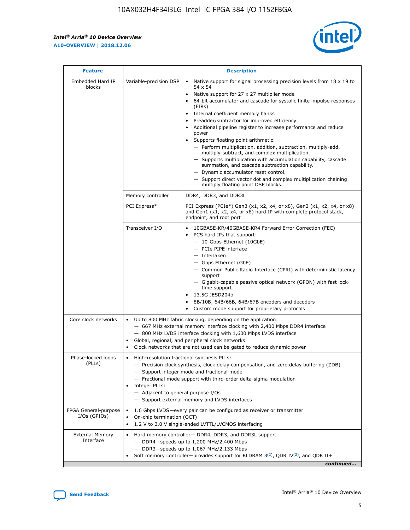r



| <b>Feature</b>                         | <b>Description</b>                                                                                             |                                                                                                                                                                                                                                                                                                                                                                                                                                                                                                                                                                                                                                                                                                                                                                                                                                        |  |  |  |  |  |
|----------------------------------------|----------------------------------------------------------------------------------------------------------------|----------------------------------------------------------------------------------------------------------------------------------------------------------------------------------------------------------------------------------------------------------------------------------------------------------------------------------------------------------------------------------------------------------------------------------------------------------------------------------------------------------------------------------------------------------------------------------------------------------------------------------------------------------------------------------------------------------------------------------------------------------------------------------------------------------------------------------------|--|--|--|--|--|
| Embedded Hard IP<br>blocks             | Variable-precision DSP                                                                                         | Native support for signal processing precision levels from $18 \times 19$ to<br>54 x 54<br>Native support for 27 x 27 multiplier mode<br>64-bit accumulator and cascade for systolic finite impulse responses<br>(FIRs)<br>Internal coefficient memory banks<br>$\bullet$<br>Preadder/subtractor for improved efficiency<br>Additional pipeline register to increase performance and reduce<br>power<br>Supports floating point arithmetic:<br>- Perform multiplication, addition, subtraction, multiply-add,<br>multiply-subtract, and complex multiplication.<br>- Supports multiplication with accumulation capability, cascade<br>summation, and cascade subtraction capability.<br>- Dynamic accumulator reset control.<br>- Support direct vector dot and complex multiplication chaining<br>multiply floating point DSP blocks. |  |  |  |  |  |
|                                        | Memory controller                                                                                              | DDR4, DDR3, and DDR3L                                                                                                                                                                                                                                                                                                                                                                                                                                                                                                                                                                                                                                                                                                                                                                                                                  |  |  |  |  |  |
|                                        | PCI Express*                                                                                                   | PCI Express (PCIe*) Gen3 (x1, x2, x4, or x8), Gen2 (x1, x2, x4, or x8)<br>and Gen1 (x1, x2, x4, or x8) hard IP with complete protocol stack,<br>endpoint, and root port                                                                                                                                                                                                                                                                                                                                                                                                                                                                                                                                                                                                                                                                |  |  |  |  |  |
|                                        | Transceiver I/O                                                                                                | 10GBASE-KR/40GBASE-KR4 Forward Error Correction (FEC)<br>PCS hard IPs that support:<br>$\bullet$<br>- 10-Gbps Ethernet (10GbE)<br>- PCIe PIPE interface<br>$-$ Interlaken<br>- Gbps Ethernet (GbE)<br>- Common Public Radio Interface (CPRI) with deterministic latency<br>support<br>- Gigabit-capable passive optical network (GPON) with fast lock-<br>time support<br>13.5G JESD204b<br>$\bullet$<br>8B/10B, 64B/66B, 64B/67B encoders and decoders<br>Custom mode support for proprietary protocols                                                                                                                                                                                                                                                                                                                               |  |  |  |  |  |
| Core clock networks                    | $\bullet$<br>$\bullet$                                                                                         | Up to 800 MHz fabric clocking, depending on the application:<br>- 667 MHz external memory interface clocking with 2,400 Mbps DDR4 interface<br>- 800 MHz LVDS interface clocking with 1,600 Mbps LVDS interface<br>Global, regional, and peripheral clock networks<br>Clock networks that are not used can be gated to reduce dynamic power                                                                                                                                                                                                                                                                                                                                                                                                                                                                                            |  |  |  |  |  |
| Phase-locked loops<br>(PLLs)           | High-resolution fractional synthesis PLLs:<br>$\bullet$<br>Integer PLLs:<br>- Adjacent to general purpose I/Os | - Precision clock synthesis, clock delay compensation, and zero delay buffering (ZDB)<br>- Support integer mode and fractional mode<br>- Fractional mode support with third-order delta-sigma modulation<br>- Support external memory and LVDS interfaces                                                                                                                                                                                                                                                                                                                                                                                                                                                                                                                                                                              |  |  |  |  |  |
| FPGA General-purpose<br>$I/Os$ (GPIOs) | On-chip termination (OCT)                                                                                      | 1.6 Gbps LVDS-every pair can be configured as receiver or transmitter<br>1.2 V to 3.0 V single-ended LVTTL/LVCMOS interfacing                                                                                                                                                                                                                                                                                                                                                                                                                                                                                                                                                                                                                                                                                                          |  |  |  |  |  |
| <b>External Memory</b><br>Interface    |                                                                                                                | Hard memory controller- DDR4, DDR3, and DDR3L support<br>$-$ DDR4 $-$ speeds up to 1,200 MHz/2,400 Mbps<br>- DDR3-speeds up to 1,067 MHz/2,133 Mbps<br>Soft memory controller—provides support for RLDRAM $3^{(2)}$ , QDR IV $^{(2)}$ , and QDR II+<br>continued                                                                                                                                                                                                                                                                                                                                                                                                                                                                                                                                                                       |  |  |  |  |  |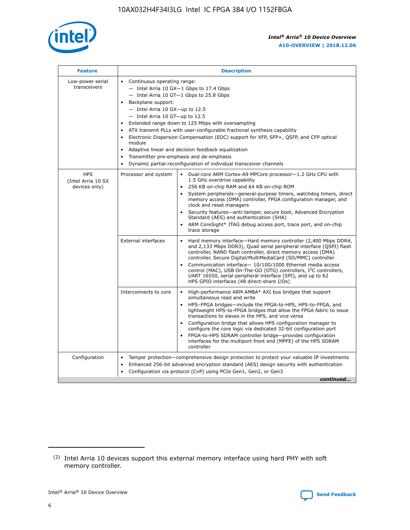

| <b>Feature</b>                                    | <b>Description</b>                                                                                                                                                                                                                                                                                                                                                                                                                                                                                                                                                                                                                                                        |
|---------------------------------------------------|---------------------------------------------------------------------------------------------------------------------------------------------------------------------------------------------------------------------------------------------------------------------------------------------------------------------------------------------------------------------------------------------------------------------------------------------------------------------------------------------------------------------------------------------------------------------------------------------------------------------------------------------------------------------------|
| Low-power serial<br>transceivers                  | • Continuous operating range:<br>- Intel Arria 10 GX-1 Gbps to 17.4 Gbps<br>$-$ Intel Arria 10 GT $-1$ Gbps to 25.8 Gbps<br>Backplane support:<br>$\bullet$<br>$-$ Intel Arria 10 GX-up to 12.5<br>$-$ Intel Arria 10 GT-up to 12.5<br>Extended range down to 125 Mbps with oversampling<br>ATX transmit PLLs with user-configurable fractional synthesis capability<br>Electronic Dispersion Compensation (EDC) support for XFP, SFP+, OSFP, and CFP optical<br>module<br>Adaptive linear and decision feedback equalization<br>$\bullet$<br>Transmitter pre-emphasis and de-emphasis<br>$\bullet$<br>Dynamic partial reconfiguration of individual transceiver channels |
| <b>HPS</b><br>(Intel Arria 10 SX<br>devices only) | Dual-core ARM Cortex-A9 MPCore processor-1.2 GHz CPU with<br>Processor and system<br>$\bullet$<br>1.5 GHz overdrive capability<br>256 KB on-chip RAM and 64 KB on-chip ROM<br>System peripherals-general-purpose timers, watchdog timers, direct<br>memory access (DMA) controller, FPGA configuration manager, and<br>clock and reset managers<br>• Security features—anti-tamper, secure boot, Advanced Encryption<br>Standard (AES) and authentication (SHA)<br>ARM CoreSight* JTAG debug access port, trace port, and on-chip<br>$\bullet$<br>trace storage                                                                                                           |
|                                                   | <b>External interfaces</b><br>Hard memory interface—Hard memory controller (2,400 Mbps DDR4,<br>and 2,133 Mbps DDR3), Quad serial peripheral interface (QSPI) flash<br>controller, NAND flash controller, direct memory access (DMA)<br>controller, Secure Digital/MultiMediaCard (SD/MMC) controller<br>Communication interface-10/100/1000 Ethernet media access<br>$\bullet$<br>control (MAC), USB On-The-GO (OTG) controllers, I <sup>2</sup> C controllers,<br>UART 16550, serial peripheral interface (SPI), and up to 62<br>HPS GPIO interfaces (48 direct-share I/Os)                                                                                             |
|                                                   | Interconnects to core<br>• High-performance ARM AMBA* AXI bus bridges that support<br>simultaneous read and write<br>HPS-FPGA bridges-include the FPGA-to-HPS, HPS-to-FPGA, and<br>$\bullet$<br>lightweight HPS-to-FPGA bridges that allow the FPGA fabric to issue<br>transactions to slaves in the HPS, and vice versa<br>Configuration bridge that allows HPS configuration manager to<br>configure the core logic via dedicated 32-bit configuration port<br>FPGA-to-HPS SDRAM controller bridge-provides configuration<br>interfaces for the multiport front end (MPFE) of the HPS SDRAM<br>controller                                                               |
| Configuration                                     | Tamper protection—comprehensive design protection to protect your valuable IP investments<br>Enhanced 256-bit advanced encryption standard (AES) design security with authentication<br>$\bullet$<br>Configuration via protocol (CvP) using PCIe Gen1, Gen2, or Gen3<br>continued                                                                                                                                                                                                                                                                                                                                                                                         |

<sup>(2)</sup> Intel Arria 10 devices support this external memory interface using hard PHY with soft memory controller.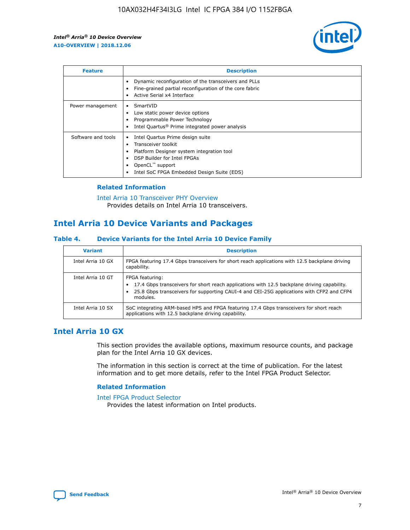

| <b>Feature</b>     | <b>Description</b>                                                                                                                                                                                               |
|--------------------|------------------------------------------------------------------------------------------------------------------------------------------------------------------------------------------------------------------|
|                    | Dynamic reconfiguration of the transceivers and PLLs<br>Fine-grained partial reconfiguration of the core fabric<br>Active Serial x4 Interface<br>$\bullet$                                                       |
| Power management   | SmartVID<br>Low static power device options<br>Programmable Power Technology<br>Intel Quartus <sup>®</sup> Prime integrated power analysis                                                                       |
| Software and tools | Intel Quartus Prime design suite<br>Transceiver toolkit<br>Platform Designer system integration tool<br>DSP Builder for Intel FPGAs<br>OpenCL <sup>™</sup> support<br>Intel SoC FPGA Embedded Design Suite (EDS) |

#### **Related Information**

[Intel Arria 10 Transceiver PHY Overview](https://www.intel.com/content/www/us/en/programmable/documentation/nik1398707230472.html#nik1398706768037) Provides details on Intel Arria 10 transceivers.

## **Intel Arria 10 Device Variants and Packages**

#### **Table 4. Device Variants for the Intel Arria 10 Device Family**

| <b>Variant</b>    | <b>Description</b>                                                                                                                                                                                                     |
|-------------------|------------------------------------------------------------------------------------------------------------------------------------------------------------------------------------------------------------------------|
| Intel Arria 10 GX | FPGA featuring 17.4 Gbps transceivers for short reach applications with 12.5 backplane driving<br>capability.                                                                                                          |
| Intel Arria 10 GT | FPGA featuring:<br>17.4 Gbps transceivers for short reach applications with 12.5 backplane driving capability.<br>25.8 Gbps transceivers for supporting CAUI-4 and CEI-25G applications with CFP2 and CFP4<br>modules. |
| Intel Arria 10 SX | SoC integrating ARM-based HPS and FPGA featuring 17.4 Gbps transceivers for short reach<br>applications with 12.5 backplane driving capability.                                                                        |

#### **Intel Arria 10 GX**

This section provides the available options, maximum resource counts, and package plan for the Intel Arria 10 GX devices.

The information in this section is correct at the time of publication. For the latest information and to get more details, refer to the Intel FPGA Product Selector.

#### **Related Information**

#### [Intel FPGA Product Selector](http://www.altera.com/products/selector/psg-selector.html) Provides the latest information on Intel products.

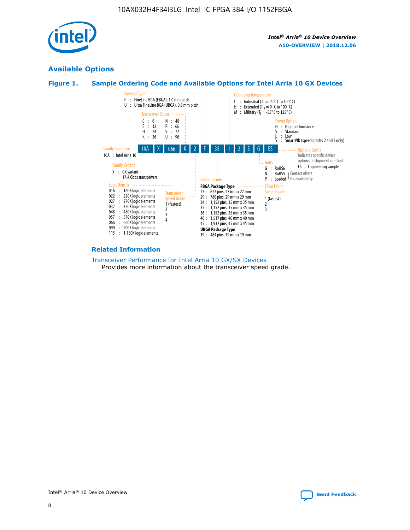

#### **Available Options**





#### **Related Information**

[Transceiver Performance for Intel Arria 10 GX/SX Devices](https://www.intel.com/content/www/us/en/programmable/documentation/mcn1413182292568.html#mcn1413213965502) Provides more information about the transceiver speed grade.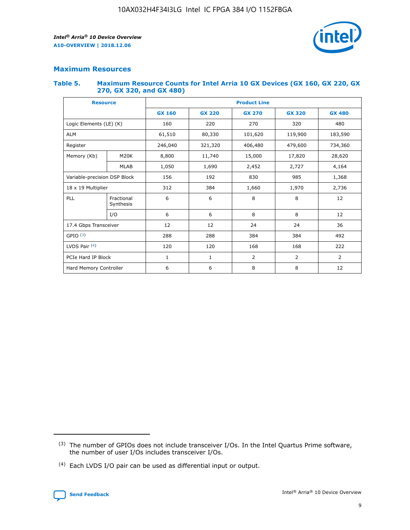

#### **Maximum Resources**

#### **Table 5. Maximum Resource Counts for Intel Arria 10 GX Devices (GX 160, GX 220, GX 270, GX 320, and GX 480)**

| <b>Resource</b>              |                          | <b>Product Line</b> |                                                 |            |                |                |  |  |  |
|------------------------------|--------------------------|---------------------|-------------------------------------------------|------------|----------------|----------------|--|--|--|
|                              |                          | <b>GX 160</b>       | <b>GX 220</b><br><b>GX 270</b><br><b>GX 320</b> |            |                | <b>GX 480</b>  |  |  |  |
| Logic Elements (LE) (K)      |                          | 160                 | 220                                             | 270        | 320            | 480            |  |  |  |
| <b>ALM</b>                   |                          | 61,510              | 80,330                                          | 101,620    | 119,900        | 183,590        |  |  |  |
| Register                     |                          | 246,040             | 321,320                                         | 406,480    | 479,600        | 734,360        |  |  |  |
| Memory (Kb)                  | M <sub>20</sub> K        | 8,800               | 11,740                                          | 15,000     | 17,820         | 28,620         |  |  |  |
| <b>MLAB</b>                  |                          | 1,050               | 1,690                                           | 2,452      | 2,727          | 4,164          |  |  |  |
| Variable-precision DSP Block | 156<br>192<br>830<br>985 |                     |                                                 | 1,368      |                |                |  |  |  |
| 18 x 19 Multiplier           |                          | 312                 | 384                                             | 1,660      | 1,970          | 2,736          |  |  |  |
| PLL                          | Fractional<br>Synthesis  | 6                   | 6                                               | 8          | 8              | 12             |  |  |  |
|                              | I/O                      | 6                   | 6                                               | 8          | 8              | 12             |  |  |  |
| 17.4 Gbps Transceiver        |                          | 12                  | 12                                              | 24         | 24             |                |  |  |  |
| GPIO <sup>(3)</sup>          |                          | 288                 | 288                                             | 384<br>384 |                | 492            |  |  |  |
| LVDS Pair $(4)$              |                          | 120                 | 120                                             | 168        | 168            | 222            |  |  |  |
| PCIe Hard IP Block           |                          | 1                   | 1                                               | 2          | $\overline{2}$ | $\overline{2}$ |  |  |  |
| Hard Memory Controller       |                          | 6                   | 6                                               | 8          | 8              | 12             |  |  |  |

<sup>(4)</sup> Each LVDS I/O pair can be used as differential input or output.



<sup>(3)</sup> The number of GPIOs does not include transceiver I/Os. In the Intel Quartus Prime software, the number of user I/Os includes transceiver I/Os.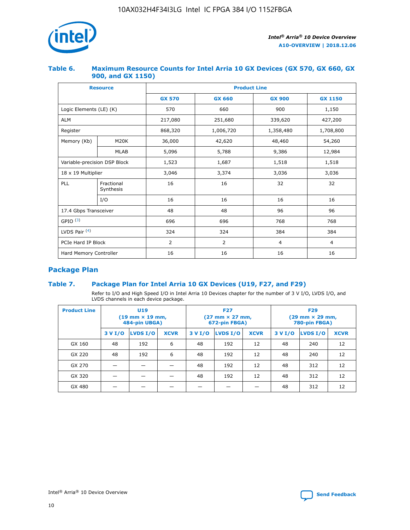

#### **Table 6. Maximum Resource Counts for Intel Arria 10 GX Devices (GX 570, GX 660, GX 900, and GX 1150)**

|                              | <b>Resource</b>         | <b>Product Line</b> |                                |                |                |  |  |  |
|------------------------------|-------------------------|---------------------|--------------------------------|----------------|----------------|--|--|--|
|                              |                         | <b>GX 570</b>       | <b>GX 660</b><br><b>GX 900</b> |                | <b>GX 1150</b> |  |  |  |
| Logic Elements (LE) (K)      |                         | 570                 | 660                            | 900            | 1,150          |  |  |  |
| <b>ALM</b>                   |                         | 217,080             | 251,680                        | 339,620        | 427,200        |  |  |  |
| Register                     |                         | 868,320             | 1,006,720                      | 1,358,480      | 1,708,800      |  |  |  |
| Memory (Kb)                  | <b>M20K</b>             | 36,000              | 42,620                         | 48,460         | 54,260         |  |  |  |
|                              | <b>MLAB</b>             | 5,096               | 5,788                          |                | 12,984         |  |  |  |
| Variable-precision DSP Block |                         | 1,523               | 1,687                          | 1,518          | 1,518          |  |  |  |
| $18 \times 19$ Multiplier    |                         | 3,046               | 3,374                          | 3,036          | 3,036          |  |  |  |
| PLL                          | Fractional<br>Synthesis | 16                  | 16                             | 32             | 32             |  |  |  |
|                              | I/O                     | 16                  | 16                             | 16             | 16             |  |  |  |
| 17.4 Gbps Transceiver        |                         | 48                  | 48<br>96                       |                | 96             |  |  |  |
| GPIO <sup>(3)</sup>          |                         | 696                 | 696                            | 768            | 768            |  |  |  |
| LVDS Pair $(4)$              |                         | 324                 | 324                            |                | 384            |  |  |  |
| PCIe Hard IP Block           |                         | 2                   | $\overline{2}$                 | $\overline{4}$ | 4              |  |  |  |
| Hard Memory Controller       |                         | 16                  | 16                             | 16             | 16             |  |  |  |

#### **Package Plan**

#### **Table 7. Package Plan for Intel Arria 10 GX Devices (U19, F27, and F29)**

Refer to I/O and High Speed I/O in Intel Arria 10 Devices chapter for the number of 3 V I/O, LVDS I/O, and LVDS channels in each device package.

| <b>Product Line</b> | U <sub>19</sub><br>$(19 \text{ mm} \times 19 \text{ mm})$<br>484-pin UBGA) |          |             |         | <b>F27</b><br>(27 mm × 27 mm,<br>672-pin FBGA) |             | <b>F29</b><br>$(29 \text{ mm} \times 29 \text{ mm})$<br>780-pin FBGA) |          |             |  |
|---------------------|----------------------------------------------------------------------------|----------|-------------|---------|------------------------------------------------|-------------|-----------------------------------------------------------------------|----------|-------------|--|
|                     | 3 V I/O                                                                    | LVDS I/O | <b>XCVR</b> | 3 V I/O | LVDS I/O                                       | <b>XCVR</b> | 3 V I/O                                                               | LVDS I/O | <b>XCVR</b> |  |
| GX 160              | 48                                                                         | 192      | 6           | 48      | 192                                            | 12          | 48                                                                    | 240      | 12          |  |
| GX 220              | 48                                                                         | 192      | 6           | 48      | 192                                            | 12          | 48                                                                    | 240      | 12          |  |
| GX 270              |                                                                            |          |             | 48      | 192                                            | 12          | 48                                                                    | 312      | 12          |  |
| GX 320              |                                                                            |          |             | 48      | 192                                            | 12          | 48                                                                    | 312      | 12          |  |
| GX 480              |                                                                            |          |             |         |                                                |             | 48                                                                    | 312      | 12          |  |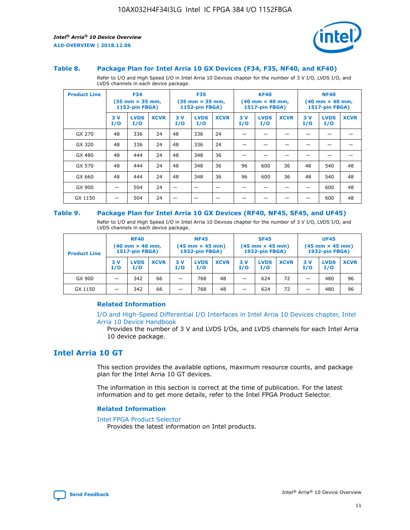

#### **Table 8. Package Plan for Intel Arria 10 GX Devices (F34, F35, NF40, and KF40)**

Refer to I/O and High Speed I/O in Intel Arria 10 Devices chapter for the number of 3 V I/O, LVDS I/O, and LVDS channels in each device package.

| <b>Product Line</b> | <b>F34</b><br>$(35 \text{ mm} \times 35 \text{ mm})$<br>1152-pin FBGA) |                    | <b>F35</b><br>$(35$ mm $\times$ 35 mm,<br><b>1152-pin FBGA)</b> |           | <b>KF40</b><br>$(40 \text{ mm} \times 40 \text{ mm})$<br>1517-pin FBGA) |             |           | <b>NF40</b><br>$(40 \text{ mm} \times 40 \text{ mm})$<br><b>1517-pin FBGA)</b> |             |            |                    |             |
|---------------------|------------------------------------------------------------------------|--------------------|-----------------------------------------------------------------|-----------|-------------------------------------------------------------------------|-------------|-----------|--------------------------------------------------------------------------------|-------------|------------|--------------------|-------------|
|                     | 3V<br>I/O                                                              | <b>LVDS</b><br>I/O | <b>XCVR</b>                                                     | 3V<br>I/O | <b>LVDS</b><br>I/O                                                      | <b>XCVR</b> | 3V<br>I/O | <b>LVDS</b><br>I/O                                                             | <b>XCVR</b> | 3 V<br>I/O | <b>LVDS</b><br>I/O | <b>XCVR</b> |
| GX 270              | 48                                                                     | 336                | 24                                                              | 48        | 336                                                                     | 24          |           |                                                                                |             |            |                    |             |
| GX 320              | 48                                                                     | 336                | 24                                                              | 48        | 336                                                                     | 24          |           |                                                                                |             |            |                    |             |
| GX 480              | 48                                                                     | 444                | 24                                                              | 48        | 348                                                                     | 36          |           |                                                                                |             |            |                    |             |
| GX 570              | 48                                                                     | 444                | 24                                                              | 48        | 348                                                                     | 36          | 96        | 600                                                                            | 36          | 48         | 540                | 48          |
| GX 660              | 48                                                                     | 444                | 24                                                              | 48        | 348                                                                     | 36          | 96        | 600                                                                            | 36          | 48         | 540                | 48          |
| GX 900              |                                                                        | 504                | 24                                                              |           |                                                                         |             |           |                                                                                |             |            | 600                | 48          |
| GX 1150             |                                                                        | 504                | 24                                                              |           |                                                                         |             |           |                                                                                |             |            | 600                | 48          |

#### **Table 9. Package Plan for Intel Arria 10 GX Devices (RF40, NF45, SF45, and UF45)**

Refer to I/O and High Speed I/O in Intel Arria 10 Devices chapter for the number of 3 V I/O, LVDS I/O, and LVDS channels in each device package.

| <b>Product Line</b> | <b>RF40</b><br>$(40$ mm $\times$ 40 mm,<br>1517-pin FBGA) |                    |             | <b>NF45</b><br>$(45 \text{ mm} \times 45 \text{ mm})$<br><b>1932-pin FBGA)</b> |                    |             | <b>SF45</b><br>$(45 \text{ mm} \times 45 \text{ mm})$<br><b>1932-pin FBGA)</b> |                    |             | <b>UF45</b><br>$(45 \text{ mm} \times 45 \text{ mm})$<br><b>1932-pin FBGA)</b> |                    |             |
|---------------------|-----------------------------------------------------------|--------------------|-------------|--------------------------------------------------------------------------------|--------------------|-------------|--------------------------------------------------------------------------------|--------------------|-------------|--------------------------------------------------------------------------------|--------------------|-------------|
|                     | 3V<br>I/O                                                 | <b>LVDS</b><br>I/O | <b>XCVR</b> | 3 V<br>I/O                                                                     | <b>LVDS</b><br>I/O | <b>XCVR</b> | 3 V<br>I/O                                                                     | <b>LVDS</b><br>I/O | <b>XCVR</b> | 3V<br>I/O                                                                      | <b>LVDS</b><br>I/O | <b>XCVR</b> |
| GX 900              |                                                           | 342                | 66          | _                                                                              | 768                | 48          |                                                                                | 624                | 72          |                                                                                | 480                | 96          |
| GX 1150             |                                                           | 342                | 66          | _                                                                              | 768                | 48          |                                                                                | 624                | 72          |                                                                                | 480                | 96          |

#### **Related Information**

[I/O and High-Speed Differential I/O Interfaces in Intel Arria 10 Devices chapter, Intel](https://www.intel.com/content/www/us/en/programmable/documentation/sam1403482614086.html#sam1403482030321) [Arria 10 Device Handbook](https://www.intel.com/content/www/us/en/programmable/documentation/sam1403482614086.html#sam1403482030321)

Provides the number of 3 V and LVDS I/Os, and LVDS channels for each Intel Arria 10 device package.

#### **Intel Arria 10 GT**

This section provides the available options, maximum resource counts, and package plan for the Intel Arria 10 GT devices.

The information in this section is correct at the time of publication. For the latest information and to get more details, refer to the Intel FPGA Product Selector.

#### **Related Information**

#### [Intel FPGA Product Selector](http://www.altera.com/products/selector/psg-selector.html)

Provides the latest information on Intel products.

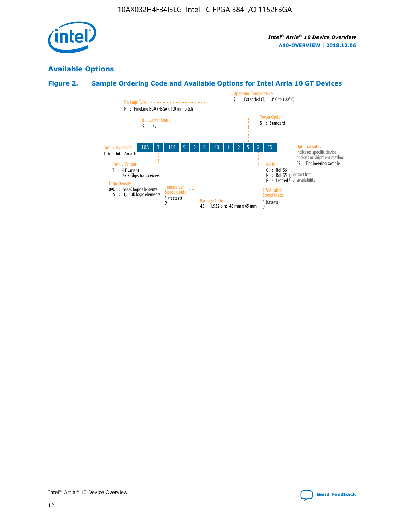

#### **Available Options**

#### **Figure 2. Sample Ordering Code and Available Options for Intel Arria 10 GT Devices**

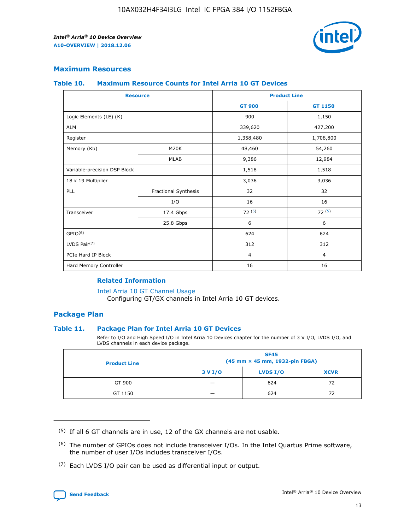

#### **Maximum Resources**

#### **Table 10. Maximum Resource Counts for Intel Arria 10 GT Devices**

| <b>Resource</b>              |                      | <b>Product Line</b> |                |  |
|------------------------------|----------------------|---------------------|----------------|--|
|                              |                      | <b>GT 900</b>       | GT 1150        |  |
| Logic Elements (LE) (K)      |                      | 900                 | 1,150          |  |
| <b>ALM</b>                   |                      | 339,620             | 427,200        |  |
| Register                     |                      | 1,358,480           | 1,708,800      |  |
| Memory (Kb)                  | M20K                 | 48,460              | 54,260         |  |
|                              | <b>MLAB</b>          | 9,386               | 12,984         |  |
| Variable-precision DSP Block |                      | 1,518               | 1,518          |  |
| 18 x 19 Multiplier           |                      | 3,036               | 3,036          |  |
| PLL                          | Fractional Synthesis | 32                  | 32             |  |
|                              | I/O                  | 16                  | 16             |  |
| Transceiver                  | 17.4 Gbps            | 72(5)               | 72(5)          |  |
|                              | 25.8 Gbps            | 6                   | 6              |  |
| GPIO <sup>(6)</sup>          |                      | 624                 | 624            |  |
| LVDS Pair $(7)$              |                      | 312                 | 312            |  |
| PCIe Hard IP Block           |                      | $\overline{4}$      | $\overline{4}$ |  |
| Hard Memory Controller       |                      | 16                  | 16             |  |

#### **Related Information**

#### [Intel Arria 10 GT Channel Usage](https://www.intel.com/content/www/us/en/programmable/documentation/nik1398707230472.html#nik1398707008178)

Configuring GT/GX channels in Intel Arria 10 GT devices.

#### **Package Plan**

#### **Table 11. Package Plan for Intel Arria 10 GT Devices**

Refer to I/O and High Speed I/O in Intel Arria 10 Devices chapter for the number of 3 V I/O, LVDS I/O, and LVDS channels in each device package.

| <b>Product Line</b> | <b>SF45</b><br>(45 mm × 45 mm, 1932-pin FBGA) |                 |             |  |  |  |
|---------------------|-----------------------------------------------|-----------------|-------------|--|--|--|
|                     | 3 V I/O                                       | <b>LVDS I/O</b> | <b>XCVR</b> |  |  |  |
| GT 900              |                                               | 624             | 72          |  |  |  |
| GT 1150             |                                               | 624             |             |  |  |  |

<sup>(7)</sup> Each LVDS I/O pair can be used as differential input or output.



 $(5)$  If all 6 GT channels are in use, 12 of the GX channels are not usable.

<sup>(6)</sup> The number of GPIOs does not include transceiver I/Os. In the Intel Quartus Prime software, the number of user I/Os includes transceiver I/Os.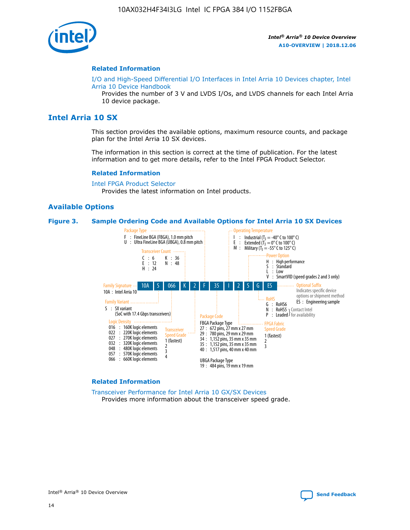

#### **Related Information**

[I/O and High-Speed Differential I/O Interfaces in Intel Arria 10 Devices chapter, Intel](https://www.intel.com/content/www/us/en/programmable/documentation/sam1403482614086.html#sam1403482030321) [Arria 10 Device Handbook](https://www.intel.com/content/www/us/en/programmable/documentation/sam1403482614086.html#sam1403482030321)

Provides the number of 3 V and LVDS I/Os, and LVDS channels for each Intel Arria 10 device package.

#### **Intel Arria 10 SX**

This section provides the available options, maximum resource counts, and package plan for the Intel Arria 10 SX devices.

The information in this section is correct at the time of publication. For the latest information and to get more details, refer to the Intel FPGA Product Selector.

#### **Related Information**

[Intel FPGA Product Selector](http://www.altera.com/products/selector/psg-selector.html) Provides the latest information on Intel products.

#### **Available Options**

#### **Figure 3. Sample Ordering Code and Available Options for Intel Arria 10 SX Devices**



#### **Related Information**

[Transceiver Performance for Intel Arria 10 GX/SX Devices](https://www.intel.com/content/www/us/en/programmable/documentation/mcn1413182292568.html#mcn1413213965502) Provides more information about the transceiver speed grade.

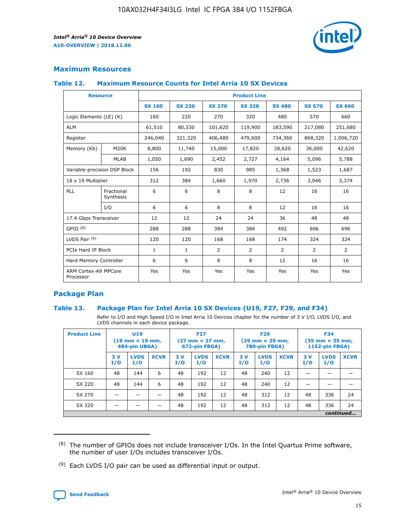

#### **Maximum Resources**

#### **Table 12. Maximum Resource Counts for Intel Arria 10 SX Devices**

| <b>Resource</b>                   |                         | <b>Product Line</b> |               |                |                |                |                |                |  |  |  |
|-----------------------------------|-------------------------|---------------------|---------------|----------------|----------------|----------------|----------------|----------------|--|--|--|
|                                   |                         | <b>SX 160</b>       | <b>SX 220</b> | <b>SX 270</b>  | <b>SX 320</b>  | <b>SX 480</b>  | <b>SX 570</b>  | <b>SX 660</b>  |  |  |  |
| Logic Elements (LE) (K)           |                         | 160                 | 220           | 270            | 320            | 480            | 570            | 660            |  |  |  |
| <b>ALM</b>                        |                         | 61,510              | 80,330        | 101,620        | 119,900        | 183,590        | 217,080        | 251,680        |  |  |  |
| Register                          |                         | 246,040             | 321,320       | 406,480        | 479,600        | 734,360        | 868,320        | 1,006,720      |  |  |  |
| Memory (Kb)                       | M <sub>20</sub> K       | 8,800               | 11,740        | 15,000         | 17,820         | 28,620         | 36,000         | 42,620         |  |  |  |
|                                   | <b>MLAB</b>             | 1,050               | 1,690         | 2,452          | 2,727          | 4,164          | 5,096          | 5,788          |  |  |  |
| Variable-precision DSP Block      |                         | 156                 | 192           | 830            | 985            | 1,368          | 1,523          | 1,687          |  |  |  |
| 18 x 19 Multiplier                |                         | 312                 | 384           | 1,660          | 1,970          | 2,736          | 3,046          | 3,374          |  |  |  |
| PLL                               | Fractional<br>Synthesis | 6                   | 6             | 8              | 8              | 12             | 16             | 16             |  |  |  |
|                                   | I/O                     | 6                   | 6             | 8              | 8              | 12             | 16             | 16             |  |  |  |
| 17.4 Gbps Transceiver             |                         | 12                  | 12            | 24             | 24             | 36             | 48             | 48             |  |  |  |
| GPIO <sup>(8)</sup>               |                         | 288                 | 288           | 384            | 384            | 492            | 696            | 696            |  |  |  |
| LVDS Pair $(9)$                   |                         | 120                 | 120           | 168            | 168            | 174            | 324            | 324            |  |  |  |
| PCIe Hard IP Block                |                         | $\mathbf{1}$        | $\mathbf{1}$  | $\overline{2}$ | $\overline{2}$ | $\overline{2}$ | $\overline{2}$ | $\overline{2}$ |  |  |  |
| Hard Memory Controller            |                         | 6                   | 6             | 8              | 8              | 12             | 16             | 16             |  |  |  |
| ARM Cortex-A9 MPCore<br>Processor |                         | Yes                 | Yes           | Yes            | Yes            | Yes            | Yes            | <b>Yes</b>     |  |  |  |

#### **Package Plan**

#### **Table 13. Package Plan for Intel Arria 10 SX Devices (U19, F27, F29, and F34)**

Refer to I/O and High Speed I/O in Intel Arria 10 Devices chapter for the number of 3 V I/O, LVDS I/O, and LVDS channels in each device package.

| <b>Product Line</b> | U19<br>$(19 \text{ mm} \times 19 \text{ mm})$ .<br>484-pin UBGA) |                    |             | <b>F27</b><br>$(27 \text{ mm} \times 27 \text{ mm})$<br>672-pin FBGA) |                    | <b>F29</b><br>$(29 \text{ mm} \times 29 \text{ mm})$<br>780-pin FBGA) |           |                    | <b>F34</b><br>$(35 \text{ mm} \times 35 \text{ mm})$<br><b>1152-pin FBGA)</b> |           |                    |             |
|---------------------|------------------------------------------------------------------|--------------------|-------------|-----------------------------------------------------------------------|--------------------|-----------------------------------------------------------------------|-----------|--------------------|-------------------------------------------------------------------------------|-----------|--------------------|-------------|
|                     | 3V<br>I/O                                                        | <b>LVDS</b><br>I/O | <b>XCVR</b> | 3V<br>I/O                                                             | <b>LVDS</b><br>I/O | <b>XCVR</b>                                                           | 3V<br>I/O | <b>LVDS</b><br>I/O | <b>XCVR</b>                                                                   | 3V<br>I/O | <b>LVDS</b><br>I/O | <b>XCVR</b> |
| SX 160              | 48                                                               | 144                | 6           | 48                                                                    | 192                | 12                                                                    | 48        | 240                | 12                                                                            |           |                    |             |
| SX 220              | 48                                                               | 144                | 6           | 48                                                                    | 192                | 12                                                                    | 48        | 240                | 12                                                                            |           |                    |             |
| SX 270              |                                                                  |                    |             | 48                                                                    | 192                | 12                                                                    | 48        | 312                | 12                                                                            | 48        | 336                | 24          |
| SX 320              |                                                                  |                    |             | 48                                                                    | 192                | 12                                                                    | 48        | 312                | 12                                                                            | 48        | 336                | 24          |
|                     | continued                                                        |                    |             |                                                                       |                    |                                                                       |           |                    |                                                                               |           |                    |             |

 $(8)$  The number of GPIOs does not include transceiver I/Os. In the Intel Quartus Prime software, the number of user I/Os includes transceiver I/Os.

 $(9)$  Each LVDS I/O pair can be used as differential input or output.

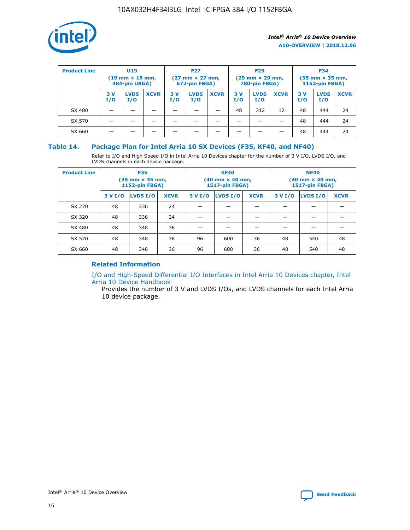

| <b>Product Line</b> | U <sub>19</sub><br>$(19 \text{ mm} \times 19 \text{ mm})$<br>484-pin UBGA) |                    | <b>F27</b><br>$(27 \text{ mm} \times 27 \text{ mm})$<br>672-pin FBGA) |           |                    | <b>F29</b><br>$(29 \text{ mm} \times 29 \text{ mm})$<br>780-pin FBGA) |           |                    | <b>F34</b><br>$(35$ mm $\times$ 35 mm,<br><b>1152-pin FBGA)</b> |           |                    |             |
|---------------------|----------------------------------------------------------------------------|--------------------|-----------------------------------------------------------------------|-----------|--------------------|-----------------------------------------------------------------------|-----------|--------------------|-----------------------------------------------------------------|-----------|--------------------|-------------|
|                     | 3V<br>I/O                                                                  | <b>LVDS</b><br>I/O | <b>XCVR</b>                                                           | 3V<br>I/O | <b>LVDS</b><br>I/O | <b>XCVR</b>                                                           | 3V<br>I/O | <b>LVDS</b><br>I/O | <b>XCVR</b>                                                     | 3V<br>I/O | <b>LVDS</b><br>I/O | <b>XCVR</b> |
| SX 480              |                                                                            |                    |                                                                       |           |                    |                                                                       | 48        | 312                | 12                                                              | 48        | 444                | 24          |
| SX 570              |                                                                            |                    |                                                                       |           |                    |                                                                       |           |                    |                                                                 | 48        | 444                | 24          |
| SX 660              |                                                                            |                    |                                                                       |           |                    |                                                                       |           |                    |                                                                 | 48        | 444                | 24          |

#### **Table 14. Package Plan for Intel Arria 10 SX Devices (F35, KF40, and NF40)**

Refer to I/O and High Speed I/O in Intel Arria 10 Devices chapter for the number of 3 V I/O, LVDS I/O, and LVDS channels in each device package.

| <b>Product Line</b> | <b>F35</b><br>$(35 \text{ mm} \times 35 \text{ mm})$<br><b>1152-pin FBGA)</b> |          |             |                                           | <b>KF40</b><br>(40 mm × 40 mm,<br>1517-pin FBGA) |    | <b>NF40</b><br>$(40 \text{ mm} \times 40 \text{ mm})$<br>1517-pin FBGA) |          |             |  |
|---------------------|-------------------------------------------------------------------------------|----------|-------------|-------------------------------------------|--------------------------------------------------|----|-------------------------------------------------------------------------|----------|-------------|--|
|                     | 3 V I/O                                                                       | LVDS I/O | <b>XCVR</b> | <b>LVDS I/O</b><br><b>XCVR</b><br>3 V I/O |                                                  |    | 3 V I/O                                                                 | LVDS I/O | <b>XCVR</b> |  |
| SX 270              | 48                                                                            | 336      | 24          |                                           |                                                  |    |                                                                         |          |             |  |
| SX 320              | 48                                                                            | 336      | 24          |                                           |                                                  |    |                                                                         |          |             |  |
| SX 480              | 48                                                                            | 348      | 36          |                                           |                                                  |    |                                                                         |          |             |  |
| SX 570              | 48                                                                            | 348      | 36          | 96                                        | 600                                              | 36 | 48                                                                      | 540      | 48          |  |
| SX 660              | 48                                                                            | 348      | 36          | 96                                        | 600                                              | 36 | 48                                                                      | 540      | 48          |  |

#### **Related Information**

[I/O and High-Speed Differential I/O Interfaces in Intel Arria 10 Devices chapter, Intel](https://www.intel.com/content/www/us/en/programmable/documentation/sam1403482614086.html#sam1403482030321) [Arria 10 Device Handbook](https://www.intel.com/content/www/us/en/programmable/documentation/sam1403482614086.html#sam1403482030321)

Provides the number of 3 V and LVDS I/Os, and LVDS channels for each Intel Arria 10 device package.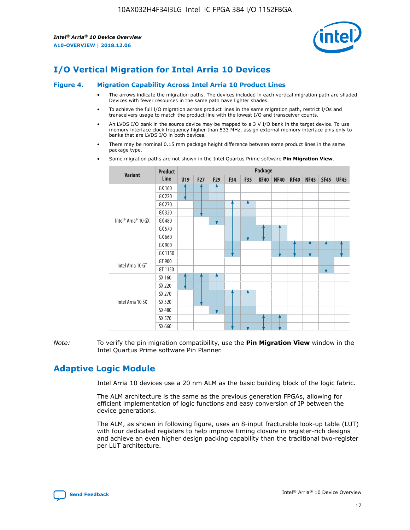

## **I/O Vertical Migration for Intel Arria 10 Devices**

#### **Figure 4. Migration Capability Across Intel Arria 10 Product Lines**

- The arrows indicate the migration paths. The devices included in each vertical migration path are shaded. Devices with fewer resources in the same path have lighter shades.
- To achieve the full I/O migration across product lines in the same migration path, restrict I/Os and transceivers usage to match the product line with the lowest I/O and transceiver counts.
- An LVDS I/O bank in the source device may be mapped to a 3 V I/O bank in the target device. To use memory interface clock frequency higher than 533 MHz, assign external memory interface pins only to banks that are LVDS I/O in both devices.
- There may be nominal 0.15 mm package height difference between some product lines in the same package type.
	- **Variant Product Line Package U19 F27 F29 F34 F35 KF40 NF40 RF40 NF45 SF45 UF45** Intel® Arria® 10 GX GX 160 GX 220 GX 270 GX 320 GX 480 GX 570 GX 660 GX 900 GX 1150 Intel Arria 10 GT GT 900 GT 1150 Intel Arria 10 SX SX 160 SX 220 SX 270 SX 320 SX 480 SX 570 SX 660
- Some migration paths are not shown in the Intel Quartus Prime software **Pin Migration View**.

*Note:* To verify the pin migration compatibility, use the **Pin Migration View** window in the Intel Quartus Prime software Pin Planner.

## **Adaptive Logic Module**

Intel Arria 10 devices use a 20 nm ALM as the basic building block of the logic fabric.

The ALM architecture is the same as the previous generation FPGAs, allowing for efficient implementation of logic functions and easy conversion of IP between the device generations.

The ALM, as shown in following figure, uses an 8-input fracturable look-up table (LUT) with four dedicated registers to help improve timing closure in register-rich designs and achieve an even higher design packing capability than the traditional two-register per LUT architecture.

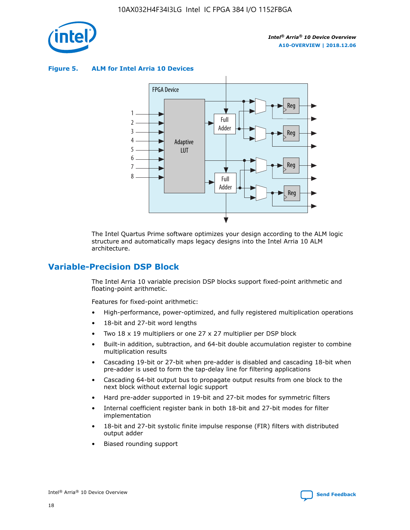

**Figure 5. ALM for Intel Arria 10 Devices**



The Intel Quartus Prime software optimizes your design according to the ALM logic structure and automatically maps legacy designs into the Intel Arria 10 ALM architecture.

## **Variable-Precision DSP Block**

The Intel Arria 10 variable precision DSP blocks support fixed-point arithmetic and floating-point arithmetic.

Features for fixed-point arithmetic:

- High-performance, power-optimized, and fully registered multiplication operations
- 18-bit and 27-bit word lengths
- Two 18 x 19 multipliers or one 27 x 27 multiplier per DSP block
- Built-in addition, subtraction, and 64-bit double accumulation register to combine multiplication results
- Cascading 19-bit or 27-bit when pre-adder is disabled and cascading 18-bit when pre-adder is used to form the tap-delay line for filtering applications
- Cascading 64-bit output bus to propagate output results from one block to the next block without external logic support
- Hard pre-adder supported in 19-bit and 27-bit modes for symmetric filters
- Internal coefficient register bank in both 18-bit and 27-bit modes for filter implementation
- 18-bit and 27-bit systolic finite impulse response (FIR) filters with distributed output adder
- Biased rounding support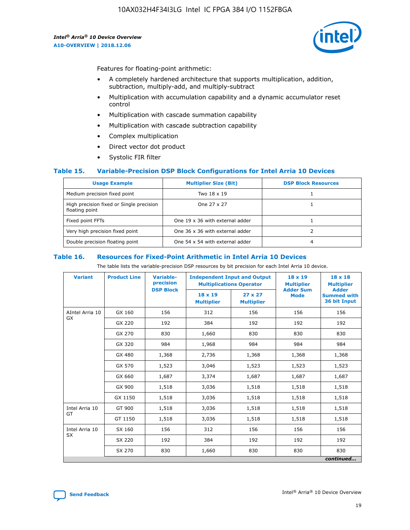

Features for floating-point arithmetic:

- A completely hardened architecture that supports multiplication, addition, subtraction, multiply-add, and multiply-subtract
- Multiplication with accumulation capability and a dynamic accumulator reset control
- Multiplication with cascade summation capability
- Multiplication with cascade subtraction capability
- Complex multiplication
- Direct vector dot product
- Systolic FIR filter

#### **Table 15. Variable-Precision DSP Block Configurations for Intel Arria 10 Devices**

| <b>Usage Example</b>                                       | <b>Multiplier Size (Bit)</b>    | <b>DSP Block Resources</b> |
|------------------------------------------------------------|---------------------------------|----------------------------|
| Medium precision fixed point                               | Two 18 x 19                     |                            |
| High precision fixed or Single precision<br>floating point | One 27 x 27                     |                            |
| Fixed point FFTs                                           | One 19 x 36 with external adder |                            |
| Very high precision fixed point                            | One 36 x 36 with external adder |                            |
| Double precision floating point                            | One 54 x 54 with external adder | 4                          |

#### **Table 16. Resources for Fixed-Point Arithmetic in Intel Arria 10 Devices**

The table lists the variable-precision DSP resources by bit precision for each Intel Arria 10 device.

| <b>Variant</b>  | <b>Product Line</b> | <b>Variable-</b><br>precision<br><b>DSP Block</b> | <b>Independent Input and Output</b><br><b>Multiplications Operator</b> |                                     | $18 \times 19$<br><b>Multiplier</b><br><b>Adder Sum</b> | $18 \times 18$<br><b>Multiplier</b><br><b>Adder</b> |
|-----------------|---------------------|---------------------------------------------------|------------------------------------------------------------------------|-------------------------------------|---------------------------------------------------------|-----------------------------------------------------|
|                 |                     |                                                   | 18 x 19<br><b>Multiplier</b>                                           | $27 \times 27$<br><b>Multiplier</b> | <b>Mode</b>                                             | <b>Summed with</b><br>36 bit Input                  |
| AIntel Arria 10 | GX 160              | 156                                               | 312                                                                    | 156                                 | 156                                                     | 156                                                 |
| GX              | GX 220              | 192                                               | 384                                                                    | 192                                 | 192                                                     | 192                                                 |
|                 | GX 270              | 830                                               | 1,660                                                                  | 830                                 | 830                                                     | 830                                                 |
|                 | GX 320              | 984                                               | 1,968                                                                  | 984                                 | 984                                                     | 984                                                 |
|                 | GX 480              | 1,368                                             | 2,736                                                                  | 1,368                               | 1,368                                                   | 1,368                                               |
|                 | GX 570              | 1,523                                             | 3,046                                                                  | 1,523                               | 1,523                                                   | 1,523                                               |
|                 | GX 660              | 1,687                                             | 3,374                                                                  | 1,687                               | 1,687                                                   | 1,687                                               |
|                 | GX 900              | 1,518                                             | 3,036                                                                  | 1,518                               | 1,518                                                   | 1,518                                               |
|                 | GX 1150             | 1,518                                             | 3,036                                                                  | 1,518                               | 1,518                                                   | 1,518                                               |
| Intel Arria 10  | GT 900              | 1,518                                             | 3,036                                                                  | 1,518                               | 1,518                                                   | 1,518                                               |
| GT              | GT 1150             | 1,518                                             | 3,036                                                                  | 1,518                               | 1,518                                                   | 1,518                                               |
| Intel Arria 10  | SX 160              | 156                                               | 312                                                                    | 156                                 | 156                                                     | 156                                                 |
| <b>SX</b>       | SX 220<br>192       |                                                   | 384                                                                    | 192                                 | 192                                                     | 192                                                 |
|                 | SX 270              | 830                                               | 830<br>1,660                                                           |                                     | 830                                                     | 830                                                 |
|                 |                     |                                                   |                                                                        |                                     |                                                         | continued                                           |

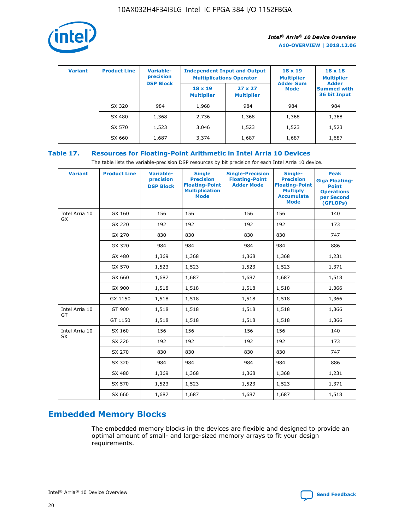

| <b>Variant</b> | <b>Product Line</b> | <b>Variable-</b><br>precision<br><b>DSP Block</b> | <b>Independent Input and Output</b><br><b>Multiplications Operator</b> |                                     | $18 \times 19$<br><b>Multiplier</b><br><b>Adder Sum</b> | $18 \times 18$<br><b>Multiplier</b><br><b>Adder</b> |  |
|----------------|---------------------|---------------------------------------------------|------------------------------------------------------------------------|-------------------------------------|---------------------------------------------------------|-----------------------------------------------------|--|
|                |                     |                                                   | $18 \times 19$<br><b>Multiplier</b>                                    | $27 \times 27$<br><b>Multiplier</b> | <b>Mode</b>                                             | <b>Summed with</b><br>36 bit Input                  |  |
|                | SX 320              | 984                                               | 1,968                                                                  | 984                                 | 984                                                     | 984                                                 |  |
|                | SX 480              | 1,368                                             | 2,736                                                                  | 1,368                               | 1,368                                                   | 1,368                                               |  |
|                | SX 570              | 1,523                                             | 3,046                                                                  | 1,523                               | 1,523                                                   | 1,523                                               |  |
|                | SX 660              | 1,687                                             | 3,374                                                                  | 1,687                               | 1,687                                                   | 1,687                                               |  |

#### **Table 17. Resources for Floating-Point Arithmetic in Intel Arria 10 Devices**

The table lists the variable-precision DSP resources by bit precision for each Intel Arria 10 device.

| <b>Variant</b>              | <b>Product Line</b> | <b>Variable-</b><br>precision<br><b>DSP Block</b> | <b>Single</b><br><b>Precision</b><br><b>Floating-Point</b><br><b>Multiplication</b><br><b>Mode</b> | <b>Single-Precision</b><br><b>Floating-Point</b><br><b>Adder Mode</b> | Single-<br><b>Precision</b><br><b>Floating-Point</b><br><b>Multiply</b><br><b>Accumulate</b><br><b>Mode</b> | <b>Peak</b><br><b>Giga Floating-</b><br><b>Point</b><br><b>Operations</b><br>per Second<br>(GFLOPs) |
|-----------------------------|---------------------|---------------------------------------------------|----------------------------------------------------------------------------------------------------|-----------------------------------------------------------------------|-------------------------------------------------------------------------------------------------------------|-----------------------------------------------------------------------------------------------------|
| Intel Arria 10<br>GX        | GX 160              | 156                                               | 156                                                                                                | 156                                                                   | 156                                                                                                         | 140                                                                                                 |
|                             | GX 220              | 192                                               | 192                                                                                                | 192                                                                   | 192                                                                                                         | 173                                                                                                 |
|                             | GX 270              | 830                                               | 830                                                                                                | 830                                                                   | 830                                                                                                         | 747                                                                                                 |
|                             | GX 320              | 984                                               | 984                                                                                                | 984                                                                   | 984                                                                                                         | 886                                                                                                 |
|                             | GX 480              | 1,369                                             | 1,368                                                                                              | 1,368                                                                 | 1,368                                                                                                       | 1,231                                                                                               |
|                             | GX 570              | 1,523                                             | 1,523                                                                                              | 1,523                                                                 | 1,523                                                                                                       | 1,371                                                                                               |
|                             | GX 660              | 1,687                                             | 1,687                                                                                              | 1,687                                                                 | 1,687                                                                                                       | 1,518                                                                                               |
|                             | GX 900              | 1,518                                             | 1,518                                                                                              | 1,518                                                                 | 1,518                                                                                                       | 1,366                                                                                               |
|                             | GX 1150             | 1,518                                             | 1,518                                                                                              | 1,518                                                                 | 1,518                                                                                                       | 1,366                                                                                               |
| Intel Arria 10              | GT 900              | 1,518                                             | 1,518                                                                                              | 1,518                                                                 | 1,518                                                                                                       | 1,366                                                                                               |
| GT                          | GT 1150             | 1,518                                             | 1,518                                                                                              | 1,518                                                                 | 1,518                                                                                                       | 1,366                                                                                               |
| Intel Arria 10<br><b>SX</b> | SX 160              | 156                                               | 156                                                                                                | 156                                                                   | 156                                                                                                         | 140                                                                                                 |
|                             | SX 220              | 192                                               | 192                                                                                                | 192                                                                   | 192                                                                                                         | 173                                                                                                 |
|                             | SX 270              | 830                                               | 830                                                                                                | 830                                                                   | 830                                                                                                         | 747                                                                                                 |
|                             | SX 320              | 984                                               | 984                                                                                                | 984                                                                   | 984                                                                                                         | 886                                                                                                 |
|                             | SX 480              | 1,369                                             | 1,368                                                                                              | 1,368                                                                 | 1,368                                                                                                       | 1,231                                                                                               |
|                             | SX 570              | 1,523                                             | 1,523                                                                                              | 1,523                                                                 | 1,523                                                                                                       | 1,371                                                                                               |
|                             | SX 660              | 1,687                                             | 1,687                                                                                              | 1,687                                                                 | 1,687                                                                                                       | 1,518                                                                                               |

## **Embedded Memory Blocks**

The embedded memory blocks in the devices are flexible and designed to provide an optimal amount of small- and large-sized memory arrays to fit your design requirements.

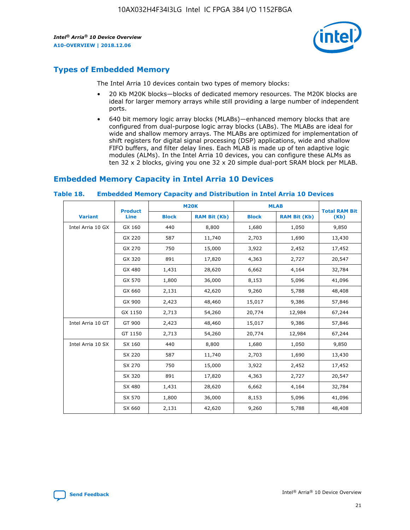

## **Types of Embedded Memory**

The Intel Arria 10 devices contain two types of memory blocks:

- 20 Kb M20K blocks—blocks of dedicated memory resources. The M20K blocks are ideal for larger memory arrays while still providing a large number of independent ports.
- 640 bit memory logic array blocks (MLABs)—enhanced memory blocks that are configured from dual-purpose logic array blocks (LABs). The MLABs are ideal for wide and shallow memory arrays. The MLABs are optimized for implementation of shift registers for digital signal processing (DSP) applications, wide and shallow FIFO buffers, and filter delay lines. Each MLAB is made up of ten adaptive logic modules (ALMs). In the Intel Arria 10 devices, you can configure these ALMs as ten 32 x 2 blocks, giving you one 32 x 20 simple dual-port SRAM block per MLAB.

## **Embedded Memory Capacity in Intel Arria 10 Devices**

|                   | <b>Product</b> |              | <b>M20K</b>         | <b>MLAB</b>  |                     | <b>Total RAM Bit</b> |
|-------------------|----------------|--------------|---------------------|--------------|---------------------|----------------------|
| <b>Variant</b>    | Line           | <b>Block</b> | <b>RAM Bit (Kb)</b> | <b>Block</b> | <b>RAM Bit (Kb)</b> | (Kb)                 |
| Intel Arria 10 GX | GX 160         | 440          | 8,800               | 1,680        | 1,050               | 9,850                |
|                   | GX 220         | 587          | 11,740              | 2,703        | 1,690               | 13,430               |
|                   | GX 270         | 750          | 15,000              | 3,922        | 2,452               | 17,452               |
|                   | GX 320         | 891          | 17,820              | 4,363        | 2,727               | 20,547               |
|                   | GX 480         | 1,431        | 28,620              | 6,662        | 4,164               | 32,784               |
|                   | GX 570         | 1,800        | 36,000              | 8,153        | 5,096               | 41,096               |
|                   | GX 660         | 2,131        | 42,620              | 9,260        | 5,788               | 48,408               |
|                   | GX 900         | 2,423        | 48,460              | 15,017       | 9,386               | 57,846               |
|                   | GX 1150        | 2,713        | 54,260              | 20,774       | 12,984              | 67,244               |
| Intel Arria 10 GT | GT 900         | 2,423        | 48,460              | 15,017       | 9,386               | 57,846               |
|                   | GT 1150        | 2,713        | 54,260              | 20,774       | 12,984              | 67,244               |
| Intel Arria 10 SX | SX 160         | 440          | 8,800               | 1,680        | 1,050               | 9,850                |
|                   | SX 220         | 587          | 11,740              | 2,703        | 1,690               | 13,430               |
|                   | SX 270         | 750          | 15,000              | 3,922        | 2,452               | 17,452               |
|                   | SX 320         | 891          | 17,820              | 4,363        | 2,727               | 20,547               |
|                   | SX 480         | 1,431        | 28,620              | 6,662        | 4,164               | 32,784               |
|                   | SX 570         | 1,800        | 36,000              | 8,153        | 5,096               | 41,096               |
|                   | SX 660         | 2,131        | 42,620              | 9,260        | 5,788               | 48,408               |

#### **Table 18. Embedded Memory Capacity and Distribution in Intel Arria 10 Devices**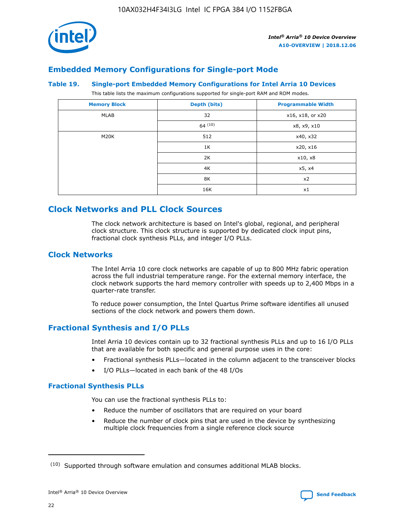

## **Embedded Memory Configurations for Single-port Mode**

#### **Table 19. Single-port Embedded Memory Configurations for Intel Arria 10 Devices**

This table lists the maximum configurations supported for single-port RAM and ROM modes.

| <b>Memory Block</b> | Depth (bits) | <b>Programmable Width</b> |
|---------------------|--------------|---------------------------|
| MLAB                | 32           | x16, x18, or x20          |
|                     | 64(10)       | x8, x9, x10               |
| M20K                | 512          | x40, x32                  |
|                     | 1K           | x20, x16                  |
|                     | 2K           | x10, x8                   |
|                     | 4K           | x5, x4                    |
|                     | 8K           | x2                        |
|                     | 16K          | x1                        |

## **Clock Networks and PLL Clock Sources**

The clock network architecture is based on Intel's global, regional, and peripheral clock structure. This clock structure is supported by dedicated clock input pins, fractional clock synthesis PLLs, and integer I/O PLLs.

#### **Clock Networks**

The Intel Arria 10 core clock networks are capable of up to 800 MHz fabric operation across the full industrial temperature range. For the external memory interface, the clock network supports the hard memory controller with speeds up to 2,400 Mbps in a quarter-rate transfer.

To reduce power consumption, the Intel Quartus Prime software identifies all unused sections of the clock network and powers them down.

#### **Fractional Synthesis and I/O PLLs**

Intel Arria 10 devices contain up to 32 fractional synthesis PLLs and up to 16 I/O PLLs that are available for both specific and general purpose uses in the core:

- Fractional synthesis PLLs—located in the column adjacent to the transceiver blocks
- I/O PLLs—located in each bank of the 48 I/Os

#### **Fractional Synthesis PLLs**

You can use the fractional synthesis PLLs to:

- Reduce the number of oscillators that are required on your board
- Reduce the number of clock pins that are used in the device by synthesizing multiple clock frequencies from a single reference clock source

<sup>(10)</sup> Supported through software emulation and consumes additional MLAB blocks.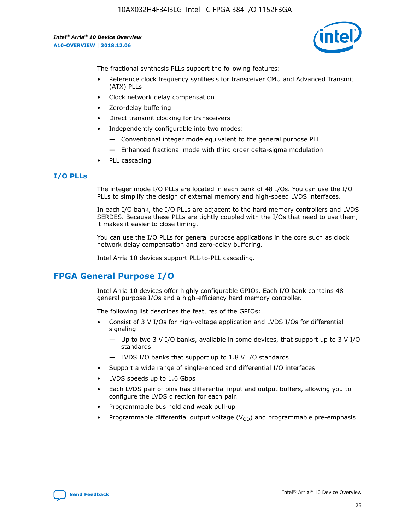

The fractional synthesis PLLs support the following features:

- Reference clock frequency synthesis for transceiver CMU and Advanced Transmit (ATX) PLLs
- Clock network delay compensation
- Zero-delay buffering
- Direct transmit clocking for transceivers
- Independently configurable into two modes:
	- Conventional integer mode equivalent to the general purpose PLL
	- Enhanced fractional mode with third order delta-sigma modulation
- PLL cascading

#### **I/O PLLs**

The integer mode I/O PLLs are located in each bank of 48 I/Os. You can use the I/O PLLs to simplify the design of external memory and high-speed LVDS interfaces.

In each I/O bank, the I/O PLLs are adjacent to the hard memory controllers and LVDS SERDES. Because these PLLs are tightly coupled with the I/Os that need to use them, it makes it easier to close timing.

You can use the I/O PLLs for general purpose applications in the core such as clock network delay compensation and zero-delay buffering.

Intel Arria 10 devices support PLL-to-PLL cascading.

## **FPGA General Purpose I/O**

Intel Arria 10 devices offer highly configurable GPIOs. Each I/O bank contains 48 general purpose I/Os and a high-efficiency hard memory controller.

The following list describes the features of the GPIOs:

- Consist of 3 V I/Os for high-voltage application and LVDS I/Os for differential signaling
	- Up to two 3 V I/O banks, available in some devices, that support up to 3 V I/O standards
	- LVDS I/O banks that support up to 1.8 V I/O standards
- Support a wide range of single-ended and differential I/O interfaces
- LVDS speeds up to 1.6 Gbps
- Each LVDS pair of pins has differential input and output buffers, allowing you to configure the LVDS direction for each pair.
- Programmable bus hold and weak pull-up
- Programmable differential output voltage  $(V_{OD})$  and programmable pre-emphasis

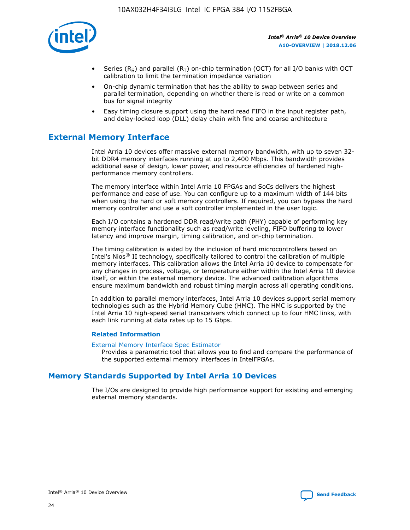

- Series (R<sub>S</sub>) and parallel (R<sub>T</sub>) on-chip termination (OCT) for all I/O banks with OCT calibration to limit the termination impedance variation
- On-chip dynamic termination that has the ability to swap between series and parallel termination, depending on whether there is read or write on a common bus for signal integrity
- Easy timing closure support using the hard read FIFO in the input register path, and delay-locked loop (DLL) delay chain with fine and coarse architecture

## **External Memory Interface**

Intel Arria 10 devices offer massive external memory bandwidth, with up to seven 32 bit DDR4 memory interfaces running at up to 2,400 Mbps. This bandwidth provides additional ease of design, lower power, and resource efficiencies of hardened highperformance memory controllers.

The memory interface within Intel Arria 10 FPGAs and SoCs delivers the highest performance and ease of use. You can configure up to a maximum width of 144 bits when using the hard or soft memory controllers. If required, you can bypass the hard memory controller and use a soft controller implemented in the user logic.

Each I/O contains a hardened DDR read/write path (PHY) capable of performing key memory interface functionality such as read/write leveling, FIFO buffering to lower latency and improve margin, timing calibration, and on-chip termination.

The timing calibration is aided by the inclusion of hard microcontrollers based on Intel's Nios® II technology, specifically tailored to control the calibration of multiple memory interfaces. This calibration allows the Intel Arria 10 device to compensate for any changes in process, voltage, or temperature either within the Intel Arria 10 device itself, or within the external memory device. The advanced calibration algorithms ensure maximum bandwidth and robust timing margin across all operating conditions.

In addition to parallel memory interfaces, Intel Arria 10 devices support serial memory technologies such as the Hybrid Memory Cube (HMC). The HMC is supported by the Intel Arria 10 high-speed serial transceivers which connect up to four HMC links, with each link running at data rates up to 15 Gbps.

#### **Related Information**

#### [External Memory Interface Spec Estimator](http://www.altera.com/technology/memory/estimator/mem-emif-index.html)

Provides a parametric tool that allows you to find and compare the performance of the supported external memory interfaces in IntelFPGAs.

#### **Memory Standards Supported by Intel Arria 10 Devices**

The I/Os are designed to provide high performance support for existing and emerging external memory standards.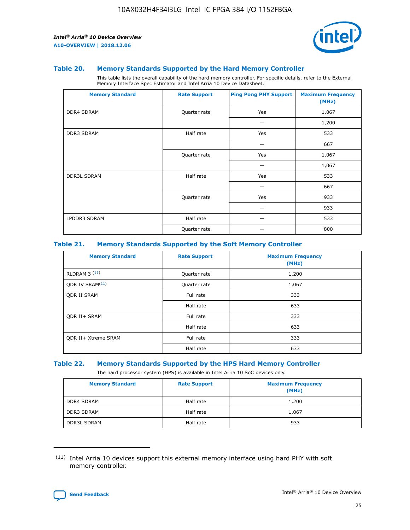

#### **Table 20. Memory Standards Supported by the Hard Memory Controller**

This table lists the overall capability of the hard memory controller. For specific details, refer to the External Memory Interface Spec Estimator and Intel Arria 10 Device Datasheet.

| <b>Memory Standard</b> | <b>Rate Support</b> | <b>Ping Pong PHY Support</b> | <b>Maximum Frequency</b><br>(MHz) |
|------------------------|---------------------|------------------------------|-----------------------------------|
| <b>DDR4 SDRAM</b>      | Quarter rate        | Yes                          | 1,067                             |
|                        |                     |                              | 1,200                             |
| DDR3 SDRAM             | Half rate           | Yes                          | 533                               |
|                        |                     |                              | 667                               |
|                        | Quarter rate        | Yes                          | 1,067                             |
|                        |                     |                              | 1,067                             |
| <b>DDR3L SDRAM</b>     | Half rate           | Yes                          | 533                               |
|                        |                     |                              | 667                               |
|                        | Quarter rate        | Yes                          | 933                               |
|                        |                     |                              | 933                               |
| LPDDR3 SDRAM           | Half rate           |                              | 533                               |
|                        | Quarter rate        |                              | 800                               |

#### **Table 21. Memory Standards Supported by the Soft Memory Controller**

| <b>Memory Standard</b>      | <b>Rate Support</b> | <b>Maximum Frequency</b><br>(MHz) |
|-----------------------------|---------------------|-----------------------------------|
| <b>RLDRAM 3 (11)</b>        | Quarter rate        | 1,200                             |
| ODR IV SRAM <sup>(11)</sup> | Quarter rate        | 1,067                             |
| <b>ODR II SRAM</b>          | Full rate           | 333                               |
|                             | Half rate           | 633                               |
| <b>ODR II+ SRAM</b>         | Full rate           | 333                               |
|                             | Half rate           | 633                               |
| <b>ODR II+ Xtreme SRAM</b>  | Full rate           | 333                               |
|                             | Half rate           | 633                               |

#### **Table 22. Memory Standards Supported by the HPS Hard Memory Controller**

The hard processor system (HPS) is available in Intel Arria 10 SoC devices only.

| <b>Memory Standard</b> | <b>Rate Support</b> | <b>Maximum Frequency</b><br>(MHz) |
|------------------------|---------------------|-----------------------------------|
| <b>DDR4 SDRAM</b>      | Half rate           | 1,200                             |
| <b>DDR3 SDRAM</b>      | Half rate           | 1,067                             |
| <b>DDR3L SDRAM</b>     | Half rate           | 933                               |

<sup>(11)</sup> Intel Arria 10 devices support this external memory interface using hard PHY with soft memory controller.

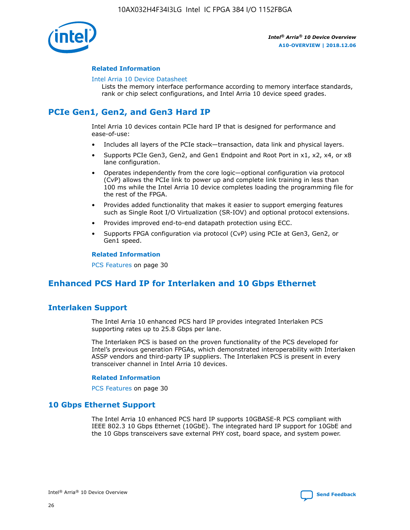

#### **Related Information**

#### [Intel Arria 10 Device Datasheet](https://www.intel.com/content/www/us/en/programmable/documentation/mcn1413182292568.html#mcn1413182153340)

Lists the memory interface performance according to memory interface standards, rank or chip select configurations, and Intel Arria 10 device speed grades.

## **PCIe Gen1, Gen2, and Gen3 Hard IP**

Intel Arria 10 devices contain PCIe hard IP that is designed for performance and ease-of-use:

- Includes all layers of the PCIe stack—transaction, data link and physical layers.
- Supports PCIe Gen3, Gen2, and Gen1 Endpoint and Root Port in x1, x2, x4, or x8 lane configuration.
- Operates independently from the core logic—optional configuration via protocol (CvP) allows the PCIe link to power up and complete link training in less than 100 ms while the Intel Arria 10 device completes loading the programming file for the rest of the FPGA.
- Provides added functionality that makes it easier to support emerging features such as Single Root I/O Virtualization (SR-IOV) and optional protocol extensions.
- Provides improved end-to-end datapath protection using ECC.
- Supports FPGA configuration via protocol (CvP) using PCIe at Gen3, Gen2, or Gen1 speed.

#### **Related Information**

PCS Features on page 30

## **Enhanced PCS Hard IP for Interlaken and 10 Gbps Ethernet**

#### **Interlaken Support**

The Intel Arria 10 enhanced PCS hard IP provides integrated Interlaken PCS supporting rates up to 25.8 Gbps per lane.

The Interlaken PCS is based on the proven functionality of the PCS developed for Intel's previous generation FPGAs, which demonstrated interoperability with Interlaken ASSP vendors and third-party IP suppliers. The Interlaken PCS is present in every transceiver channel in Intel Arria 10 devices.

#### **Related Information**

PCS Features on page 30

#### **10 Gbps Ethernet Support**

The Intel Arria 10 enhanced PCS hard IP supports 10GBASE-R PCS compliant with IEEE 802.3 10 Gbps Ethernet (10GbE). The integrated hard IP support for 10GbE and the 10 Gbps transceivers save external PHY cost, board space, and system power.

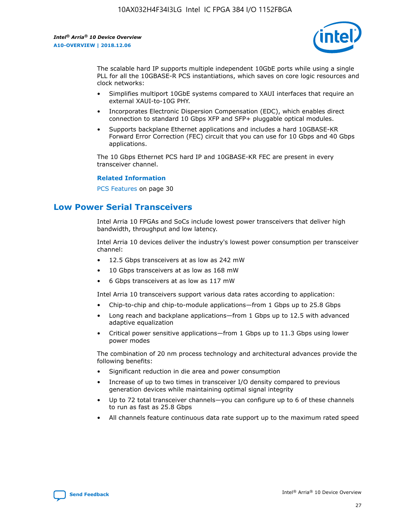

The scalable hard IP supports multiple independent 10GbE ports while using a single PLL for all the 10GBASE-R PCS instantiations, which saves on core logic resources and clock networks:

- Simplifies multiport 10GbE systems compared to XAUI interfaces that require an external XAUI-to-10G PHY.
- Incorporates Electronic Dispersion Compensation (EDC), which enables direct connection to standard 10 Gbps XFP and SFP+ pluggable optical modules.
- Supports backplane Ethernet applications and includes a hard 10GBASE-KR Forward Error Correction (FEC) circuit that you can use for 10 Gbps and 40 Gbps applications.

The 10 Gbps Ethernet PCS hard IP and 10GBASE-KR FEC are present in every transceiver channel.

#### **Related Information**

PCS Features on page 30

## **Low Power Serial Transceivers**

Intel Arria 10 FPGAs and SoCs include lowest power transceivers that deliver high bandwidth, throughput and low latency.

Intel Arria 10 devices deliver the industry's lowest power consumption per transceiver channel:

- 12.5 Gbps transceivers at as low as 242 mW
- 10 Gbps transceivers at as low as 168 mW
- 6 Gbps transceivers at as low as 117 mW

Intel Arria 10 transceivers support various data rates according to application:

- Chip-to-chip and chip-to-module applications—from 1 Gbps up to 25.8 Gbps
- Long reach and backplane applications—from 1 Gbps up to 12.5 with advanced adaptive equalization
- Critical power sensitive applications—from 1 Gbps up to 11.3 Gbps using lower power modes

The combination of 20 nm process technology and architectural advances provide the following benefits:

- Significant reduction in die area and power consumption
- Increase of up to two times in transceiver I/O density compared to previous generation devices while maintaining optimal signal integrity
- Up to 72 total transceiver channels—you can configure up to 6 of these channels to run as fast as 25.8 Gbps
- All channels feature continuous data rate support up to the maximum rated speed

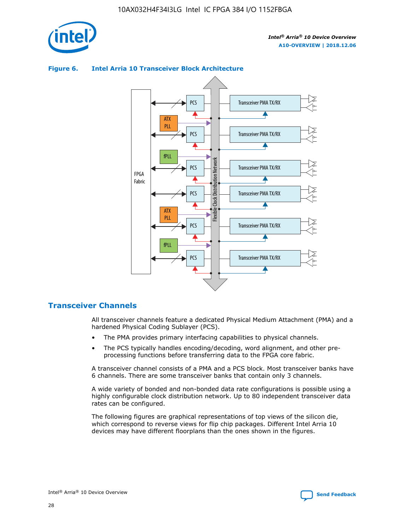

## **Figure 6. Intel Arria 10 Transceiver Block Architecture**



#### **Transceiver Channels**

All transceiver channels feature a dedicated Physical Medium Attachment (PMA) and a hardened Physical Coding Sublayer (PCS).

- The PMA provides primary interfacing capabilities to physical channels.
- The PCS typically handles encoding/decoding, word alignment, and other preprocessing functions before transferring data to the FPGA core fabric.

A transceiver channel consists of a PMA and a PCS block. Most transceiver banks have 6 channels. There are some transceiver banks that contain only 3 channels.

A wide variety of bonded and non-bonded data rate configurations is possible using a highly configurable clock distribution network. Up to 80 independent transceiver data rates can be configured.

The following figures are graphical representations of top views of the silicon die, which correspond to reverse views for flip chip packages. Different Intel Arria 10 devices may have different floorplans than the ones shown in the figures.

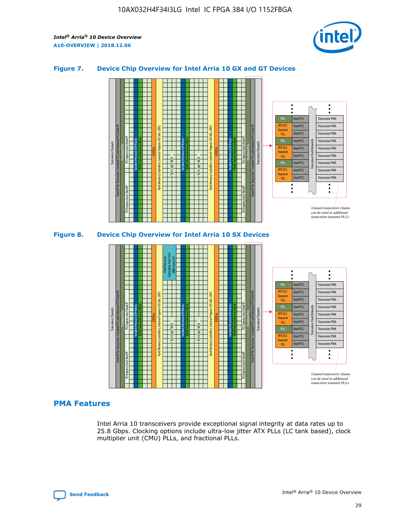

#### **Figure 7. Device Chip Overview for Intel Arria 10 GX and GT Devices**





#### **PMA Features**

Intel Arria 10 transceivers provide exceptional signal integrity at data rates up to 25.8 Gbps. Clocking options include ultra-low jitter ATX PLLs (LC tank based), clock multiplier unit (CMU) PLLs, and fractional PLLs.

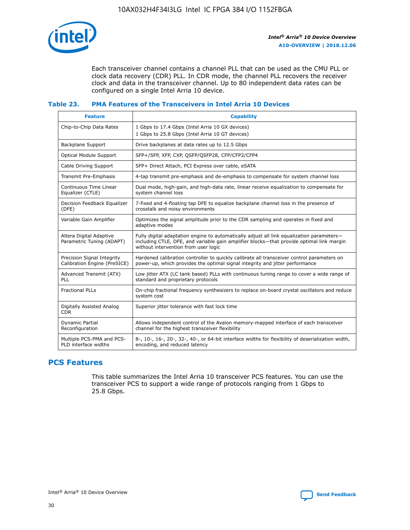

Each transceiver channel contains a channel PLL that can be used as the CMU PLL or clock data recovery (CDR) PLL. In CDR mode, the channel PLL recovers the receiver clock and data in the transceiver channel. Up to 80 independent data rates can be configured on a single Intel Arria 10 device.

#### **Table 23. PMA Features of the Transceivers in Intel Arria 10 Devices**

| <b>Feature</b>                                             | <b>Capability</b>                                                                                                                                                                                                             |
|------------------------------------------------------------|-------------------------------------------------------------------------------------------------------------------------------------------------------------------------------------------------------------------------------|
| Chip-to-Chip Data Rates                                    | 1 Gbps to 17.4 Gbps (Intel Arria 10 GX devices)<br>1 Gbps to 25.8 Gbps (Intel Arria 10 GT devices)                                                                                                                            |
| Backplane Support                                          | Drive backplanes at data rates up to 12.5 Gbps                                                                                                                                                                                |
| <b>Optical Module Support</b>                              | SFP+/SFP, XFP, CXP, QSFP/QSFP28, CFP/CFP2/CFP4                                                                                                                                                                                |
| Cable Driving Support                                      | SFP+ Direct Attach, PCI Express over cable, eSATA                                                                                                                                                                             |
| Transmit Pre-Emphasis                                      | 4-tap transmit pre-emphasis and de-emphasis to compensate for system channel loss                                                                                                                                             |
| Continuous Time Linear<br>Equalizer (CTLE)                 | Dual mode, high-gain, and high-data rate, linear receive equalization to compensate for<br>system channel loss                                                                                                                |
| Decision Feedback Equalizer<br>(DFE)                       | 7-fixed and 4-floating tap DFE to equalize backplane channel loss in the presence of<br>crosstalk and noisy environments                                                                                                      |
| Variable Gain Amplifier                                    | Optimizes the signal amplitude prior to the CDR sampling and operates in fixed and<br>adaptive modes                                                                                                                          |
| Altera Digital Adaptive<br>Parametric Tuning (ADAPT)       | Fully digital adaptation engine to automatically adjust all link equalization parameters-<br>including CTLE, DFE, and variable gain amplifier blocks—that provide optimal link margin<br>without intervention from user logic |
| Precision Signal Integrity<br>Calibration Engine (PreSICE) | Hardened calibration controller to quickly calibrate all transceiver control parameters on<br>power-up, which provides the optimal signal integrity and jitter performance                                                    |
| Advanced Transmit (ATX)<br><b>PLL</b>                      | Low jitter ATX (LC tank based) PLLs with continuous tuning range to cover a wide range of<br>standard and proprietary protocols                                                                                               |
| <b>Fractional PLLs</b>                                     | On-chip fractional frequency synthesizers to replace on-board crystal oscillators and reduce<br>system cost                                                                                                                   |
| Digitally Assisted Analog<br><b>CDR</b>                    | Superior jitter tolerance with fast lock time                                                                                                                                                                                 |
| Dynamic Partial<br>Reconfiguration                         | Allows independent control of the Avalon memory-mapped interface of each transceiver<br>channel for the highest transceiver flexibility                                                                                       |
| Multiple PCS-PMA and PCS-<br>PLD interface widths          | 8-, 10-, 16-, 20-, 32-, 40-, or 64-bit interface widths for flexibility of deserialization width,<br>encoding, and reduced latency                                                                                            |

#### **PCS Features**

This table summarizes the Intel Arria 10 transceiver PCS features. You can use the transceiver PCS to support a wide range of protocols ranging from 1 Gbps to 25.8 Gbps.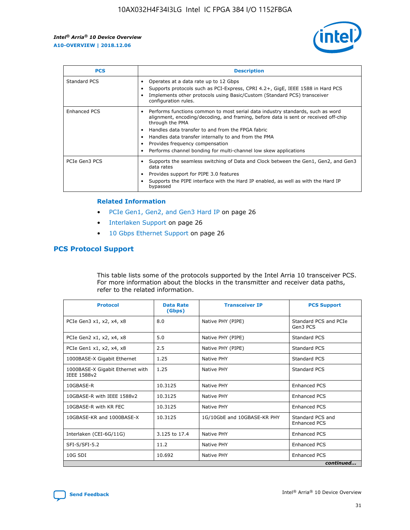

| <b>PCS</b>          | <b>Description</b>                                                                                                                                                                                                                                                                                                                                                                                             |
|---------------------|----------------------------------------------------------------------------------------------------------------------------------------------------------------------------------------------------------------------------------------------------------------------------------------------------------------------------------------------------------------------------------------------------------------|
| Standard PCS        | Operates at a data rate up to 12 Gbps<br>Supports protocols such as PCI-Express, CPRI 4.2+, GigE, IEEE 1588 in Hard PCS<br>Implements other protocols using Basic/Custom (Standard PCS) transceiver<br>configuration rules.                                                                                                                                                                                    |
| <b>Enhanced PCS</b> | Performs functions common to most serial data industry standards, such as word<br>alignment, encoding/decoding, and framing, before data is sent or received off-chip<br>through the PMA<br>• Handles data transfer to and from the FPGA fabric<br>Handles data transfer internally to and from the PMA<br>Provides frequency compensation<br>Performs channel bonding for multi-channel low skew applications |
| PCIe Gen3 PCS       | Supports the seamless switching of Data and Clock between the Gen1, Gen2, and Gen3<br>data rates<br>Provides support for PIPE 3.0 features<br>Supports the PIPE interface with the Hard IP enabled, as well as with the Hard IP<br>bypassed                                                                                                                                                                    |

#### **Related Information**

- PCIe Gen1, Gen2, and Gen3 Hard IP on page 26
- Interlaken Support on page 26
- 10 Gbps Ethernet Support on page 26

#### **PCS Protocol Support**

This table lists some of the protocols supported by the Intel Arria 10 transceiver PCS. For more information about the blocks in the transmitter and receiver data paths, refer to the related information.

| <b>Protocol</b>                                 | <b>Data Rate</b><br>(Gbps) | <b>Transceiver IP</b>       | <b>PCS Support</b>                      |
|-------------------------------------------------|----------------------------|-----------------------------|-----------------------------------------|
| PCIe Gen3 x1, x2, x4, x8                        | 8.0                        | Native PHY (PIPE)           | Standard PCS and PCIe<br>Gen3 PCS       |
| PCIe Gen2 x1, x2, x4, x8                        | 5.0                        | Native PHY (PIPE)           | <b>Standard PCS</b>                     |
| PCIe Gen1 x1, x2, x4, x8                        | 2.5                        | Native PHY (PIPE)           | Standard PCS                            |
| 1000BASE-X Gigabit Ethernet                     | 1.25                       | Native PHY                  | <b>Standard PCS</b>                     |
| 1000BASE-X Gigabit Ethernet with<br>IEEE 1588v2 | 1.25                       | Native PHY                  | Standard PCS                            |
| 10GBASE-R                                       | 10.3125                    | Native PHY                  | <b>Enhanced PCS</b>                     |
| 10GBASE-R with IEEE 1588v2                      | 10.3125                    | Native PHY                  | <b>Enhanced PCS</b>                     |
| 10GBASE-R with KR FEC                           | 10.3125                    | Native PHY                  | <b>Enhanced PCS</b>                     |
| 10GBASE-KR and 1000BASE-X                       | 10.3125                    | 1G/10GbE and 10GBASE-KR PHY | Standard PCS and<br><b>Enhanced PCS</b> |
| Interlaken (CEI-6G/11G)                         | 3.125 to 17.4              | Native PHY                  | <b>Enhanced PCS</b>                     |
| SFI-S/SFI-5.2                                   | 11.2                       | Native PHY                  | <b>Enhanced PCS</b>                     |
| 10G SDI                                         | 10.692                     | Native PHY                  | <b>Enhanced PCS</b>                     |
|                                                 |                            |                             | continued                               |

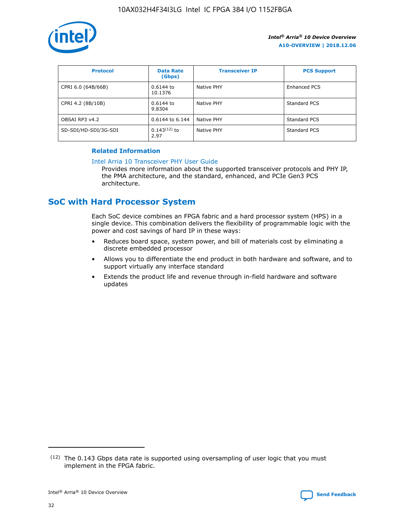

| <b>Protocol</b>      | <b>Data Rate</b><br>(Gbps) | <b>Transceiver IP</b> | <b>PCS Support</b> |
|----------------------|----------------------------|-----------------------|--------------------|
| CPRI 6.0 (64B/66B)   | 0.6144 to<br>10.1376       | Native PHY            | Enhanced PCS       |
| CPRI 4.2 (8B/10B)    | 0.6144 to<br>9.8304        | Native PHY            | Standard PCS       |
| OBSAI RP3 v4.2       | 0.6144 to 6.144            | Native PHY            | Standard PCS       |
| SD-SDI/HD-SDI/3G-SDI | $0.143(12)$ to<br>2.97     | Native PHY            | Standard PCS       |

#### **Related Information**

#### [Intel Arria 10 Transceiver PHY User Guide](https://www.intel.com/content/www/us/en/programmable/documentation/nik1398707230472.html#nik1398707091164)

Provides more information about the supported transceiver protocols and PHY IP, the PMA architecture, and the standard, enhanced, and PCIe Gen3 PCS architecture.

## **SoC with Hard Processor System**

Each SoC device combines an FPGA fabric and a hard processor system (HPS) in a single device. This combination delivers the flexibility of programmable logic with the power and cost savings of hard IP in these ways:

- Reduces board space, system power, and bill of materials cost by eliminating a discrete embedded processor
- Allows you to differentiate the end product in both hardware and software, and to support virtually any interface standard
- Extends the product life and revenue through in-field hardware and software updates

 $(12)$  The 0.143 Gbps data rate is supported using oversampling of user logic that you must implement in the FPGA fabric.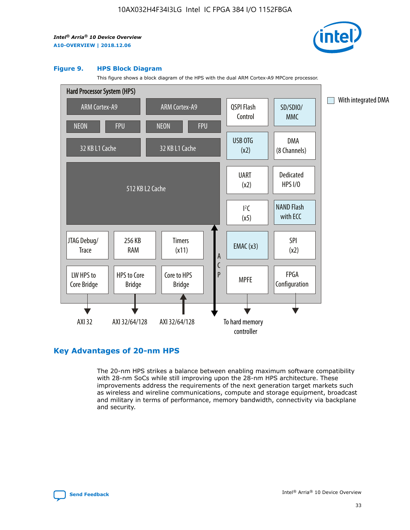

#### **Figure 9. HPS Block Diagram**

This figure shows a block diagram of the HPS with the dual ARM Cortex-A9 MPCore processor.



#### **Key Advantages of 20-nm HPS**

The 20-nm HPS strikes a balance between enabling maximum software compatibility with 28-nm SoCs while still improving upon the 28-nm HPS architecture. These improvements address the requirements of the next generation target markets such as wireless and wireline communications, compute and storage equipment, broadcast and military in terms of performance, memory bandwidth, connectivity via backplane and security.

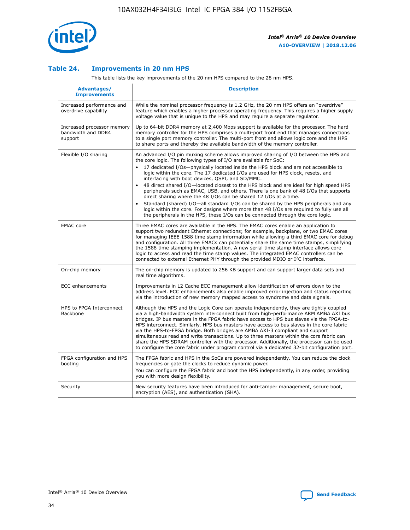

#### **Table 24. Improvements in 20 nm HPS**

This table lists the key improvements of the 20 nm HPS compared to the 28 nm HPS.

| Advantages/<br><b>Improvements</b>                          | <b>Description</b>                                                                                                                                                                                                                                                                                                                                                                                                                                                                                                                                                                                                                                                                                                                                                                                                                                                                                                      |
|-------------------------------------------------------------|-------------------------------------------------------------------------------------------------------------------------------------------------------------------------------------------------------------------------------------------------------------------------------------------------------------------------------------------------------------------------------------------------------------------------------------------------------------------------------------------------------------------------------------------------------------------------------------------------------------------------------------------------------------------------------------------------------------------------------------------------------------------------------------------------------------------------------------------------------------------------------------------------------------------------|
| Increased performance and<br>overdrive capability           | While the nominal processor frequency is 1.2 GHz, the 20 nm HPS offers an "overdrive"<br>feature which enables a higher processor operating frequency. This requires a higher supply<br>voltage value that is unique to the HPS and may require a separate regulator.                                                                                                                                                                                                                                                                                                                                                                                                                                                                                                                                                                                                                                                   |
| Increased processor memory<br>bandwidth and DDR4<br>support | Up to 64-bit DDR4 memory at 2,400 Mbps support is available for the processor. The hard<br>memory controller for the HPS comprises a multi-port front end that manages connections<br>to a single port memory controller. The multi-port front end allows logic core and the HPS<br>to share ports and thereby the available bandwidth of the memory controller.                                                                                                                                                                                                                                                                                                                                                                                                                                                                                                                                                        |
| Flexible I/O sharing                                        | An advanced I/O pin muxing scheme allows improved sharing of I/O between the HPS and<br>the core logic. The following types of I/O are available for SoC:<br>17 dedicated I/Os-physically located inside the HPS block and are not accessible to<br>logic within the core. The 17 dedicated I/Os are used for HPS clock, resets, and<br>interfacing with boot devices, QSPI, and SD/MMC.<br>48 direct shared I/O-located closest to the HPS block and are ideal for high speed HPS<br>peripherals such as EMAC, USB, and others. There is one bank of 48 I/Os that supports<br>direct sharing where the 48 I/Os can be shared 12 I/Os at a time.<br>Standard (shared) I/O-all standard I/Os can be shared by the HPS peripherals and any<br>logic within the core. For designs where more than 48 I/Os are required to fully use all<br>the peripherals in the HPS, these I/Os can be connected through the core logic. |
| <b>EMAC</b> core                                            | Three EMAC cores are available in the HPS. The EMAC cores enable an application to<br>support two redundant Ethernet connections; for example, backplane, or two EMAC cores<br>for managing IEEE 1588 time stamp information while allowing a third EMAC core for debug<br>and configuration. All three EMACs can potentially share the same time stamps, simplifying<br>the 1588 time stamping implementation. A new serial time stamp interface allows core<br>logic to access and read the time stamp values. The integrated EMAC controllers can be<br>connected to external Ethernet PHY through the provided MDIO or I <sup>2</sup> C interface.                                                                                                                                                                                                                                                                  |
| On-chip memory                                              | The on-chip memory is updated to 256 KB support and can support larger data sets and<br>real time algorithms.                                                                                                                                                                                                                                                                                                                                                                                                                                                                                                                                                                                                                                                                                                                                                                                                           |
| <b>ECC</b> enhancements                                     | Improvements in L2 Cache ECC management allow identification of errors down to the<br>address level. ECC enhancements also enable improved error injection and status reporting<br>via the introduction of new memory mapped access to syndrome and data signals.                                                                                                                                                                                                                                                                                                                                                                                                                                                                                                                                                                                                                                                       |
| HPS to FPGA Interconnect<br><b>Backbone</b>                 | Although the HPS and the Logic Core can operate independently, they are tightly coupled<br>via a high-bandwidth system interconnect built from high-performance ARM AMBA AXI bus<br>bridges. IP bus masters in the FPGA fabric have access to HPS bus slaves via the FPGA-to-<br>HPS interconnect. Similarly, HPS bus masters have access to bus slaves in the core fabric<br>via the HPS-to-FPGA bridge. Both bridges are AMBA AXI-3 compliant and support<br>simultaneous read and write transactions. Up to three masters within the core fabric can<br>share the HPS SDRAM controller with the processor. Additionally, the processor can be used<br>to configure the core fabric under program control via a dedicated 32-bit configuration port.                                                                                                                                                                  |
| FPGA configuration and HPS<br>booting                       | The FPGA fabric and HPS in the SoCs are powered independently. You can reduce the clock<br>frequencies or gate the clocks to reduce dynamic power.<br>You can configure the FPGA fabric and boot the HPS independently, in any order, providing<br>you with more design flexibility.                                                                                                                                                                                                                                                                                                                                                                                                                                                                                                                                                                                                                                    |
| Security                                                    | New security features have been introduced for anti-tamper management, secure boot,<br>encryption (AES), and authentication (SHA).                                                                                                                                                                                                                                                                                                                                                                                                                                                                                                                                                                                                                                                                                                                                                                                      |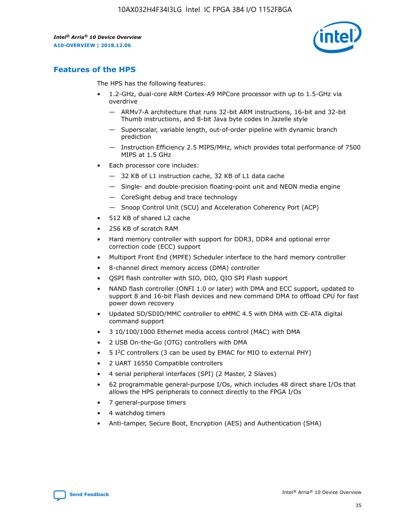

## **Features of the HPS**

The HPS has the following features:

- 1.2-GHz, dual-core ARM Cortex-A9 MPCore processor with up to 1.5-GHz via overdrive
	- ARMv7-A architecture that runs 32-bit ARM instructions, 16-bit and 32-bit Thumb instructions, and 8-bit Java byte codes in Jazelle style
	- Superscalar, variable length, out-of-order pipeline with dynamic branch prediction
	- Instruction Efficiency 2.5 MIPS/MHz, which provides total performance of 7500 MIPS at 1.5 GHz
- Each processor core includes:
	- 32 KB of L1 instruction cache, 32 KB of L1 data cache
	- Single- and double-precision floating-point unit and NEON media engine
	- CoreSight debug and trace technology
	- Snoop Control Unit (SCU) and Acceleration Coherency Port (ACP)
- 512 KB of shared L2 cache
- 256 KB of scratch RAM
- Hard memory controller with support for DDR3, DDR4 and optional error correction code (ECC) support
- Multiport Front End (MPFE) Scheduler interface to the hard memory controller
- 8-channel direct memory access (DMA) controller
- QSPI flash controller with SIO, DIO, QIO SPI Flash support
- NAND flash controller (ONFI 1.0 or later) with DMA and ECC support, updated to support 8 and 16-bit Flash devices and new command DMA to offload CPU for fast power down recovery
- Updated SD/SDIO/MMC controller to eMMC 4.5 with DMA with CE-ATA digital command support
- 3 10/100/1000 Ethernet media access control (MAC) with DMA
- 2 USB On-the-Go (OTG) controllers with DMA
- $\bullet$  5 I<sup>2</sup>C controllers (3 can be used by EMAC for MIO to external PHY)
- 2 UART 16550 Compatible controllers
- 4 serial peripheral interfaces (SPI) (2 Master, 2 Slaves)
- 62 programmable general-purpose I/Os, which includes 48 direct share I/Os that allows the HPS peripherals to connect directly to the FPGA I/Os
- 7 general-purpose timers
- 4 watchdog timers
- Anti-tamper, Secure Boot, Encryption (AES) and Authentication (SHA)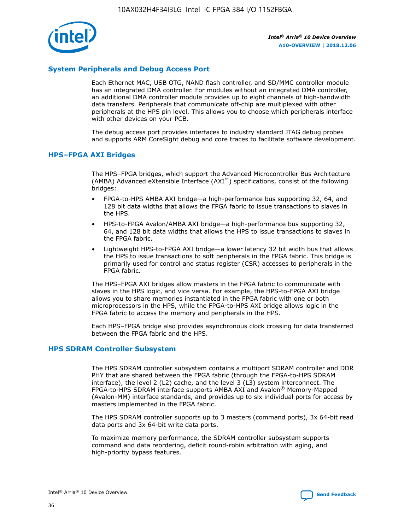

#### **System Peripherals and Debug Access Port**

Each Ethernet MAC, USB OTG, NAND flash controller, and SD/MMC controller module has an integrated DMA controller. For modules without an integrated DMA controller, an additional DMA controller module provides up to eight channels of high-bandwidth data transfers. Peripherals that communicate off-chip are multiplexed with other peripherals at the HPS pin level. This allows you to choose which peripherals interface with other devices on your PCB.

The debug access port provides interfaces to industry standard JTAG debug probes and supports ARM CoreSight debug and core traces to facilitate software development.

#### **HPS–FPGA AXI Bridges**

The HPS–FPGA bridges, which support the Advanced Microcontroller Bus Architecture (AMBA) Advanced eXtensible Interface (AXI™) specifications, consist of the following bridges:

- FPGA-to-HPS AMBA AXI bridge—a high-performance bus supporting 32, 64, and 128 bit data widths that allows the FPGA fabric to issue transactions to slaves in the HPS.
- HPS-to-FPGA Avalon/AMBA AXI bridge—a high-performance bus supporting 32, 64, and 128 bit data widths that allows the HPS to issue transactions to slaves in the FPGA fabric.
- Lightweight HPS-to-FPGA AXI bridge—a lower latency 32 bit width bus that allows the HPS to issue transactions to soft peripherals in the FPGA fabric. This bridge is primarily used for control and status register (CSR) accesses to peripherals in the FPGA fabric.

The HPS–FPGA AXI bridges allow masters in the FPGA fabric to communicate with slaves in the HPS logic, and vice versa. For example, the HPS-to-FPGA AXI bridge allows you to share memories instantiated in the FPGA fabric with one or both microprocessors in the HPS, while the FPGA-to-HPS AXI bridge allows logic in the FPGA fabric to access the memory and peripherals in the HPS.

Each HPS–FPGA bridge also provides asynchronous clock crossing for data transferred between the FPGA fabric and the HPS.

#### **HPS SDRAM Controller Subsystem**

The HPS SDRAM controller subsystem contains a multiport SDRAM controller and DDR PHY that are shared between the FPGA fabric (through the FPGA-to-HPS SDRAM interface), the level 2 (L2) cache, and the level 3 (L3) system interconnect. The FPGA-to-HPS SDRAM interface supports AMBA AXI and Avalon® Memory-Mapped (Avalon-MM) interface standards, and provides up to six individual ports for access by masters implemented in the FPGA fabric.

The HPS SDRAM controller supports up to 3 masters (command ports), 3x 64-bit read data ports and 3x 64-bit write data ports.

To maximize memory performance, the SDRAM controller subsystem supports command and data reordering, deficit round-robin arbitration with aging, and high-priority bypass features.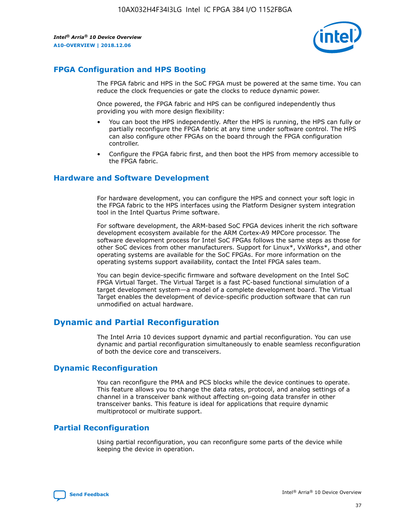

#### **FPGA Configuration and HPS Booting**

The FPGA fabric and HPS in the SoC FPGA must be powered at the same time. You can reduce the clock frequencies or gate the clocks to reduce dynamic power.

Once powered, the FPGA fabric and HPS can be configured independently thus providing you with more design flexibility:

- You can boot the HPS independently. After the HPS is running, the HPS can fully or partially reconfigure the FPGA fabric at any time under software control. The HPS can also configure other FPGAs on the board through the FPGA configuration controller.
- Configure the FPGA fabric first, and then boot the HPS from memory accessible to the FPGA fabric.

#### **Hardware and Software Development**

For hardware development, you can configure the HPS and connect your soft logic in the FPGA fabric to the HPS interfaces using the Platform Designer system integration tool in the Intel Quartus Prime software.

For software development, the ARM-based SoC FPGA devices inherit the rich software development ecosystem available for the ARM Cortex-A9 MPCore processor. The software development process for Intel SoC FPGAs follows the same steps as those for other SoC devices from other manufacturers. Support for Linux\*, VxWorks\*, and other operating systems are available for the SoC FPGAs. For more information on the operating systems support availability, contact the Intel FPGA sales team.

You can begin device-specific firmware and software development on the Intel SoC FPGA Virtual Target. The Virtual Target is a fast PC-based functional simulation of a target development system—a model of a complete development board. The Virtual Target enables the development of device-specific production software that can run unmodified on actual hardware.

#### **Dynamic and Partial Reconfiguration**

The Intel Arria 10 devices support dynamic and partial reconfiguration. You can use dynamic and partial reconfiguration simultaneously to enable seamless reconfiguration of both the device core and transceivers.

#### **Dynamic Reconfiguration**

You can reconfigure the PMA and PCS blocks while the device continues to operate. This feature allows you to change the data rates, protocol, and analog settings of a channel in a transceiver bank without affecting on-going data transfer in other transceiver banks. This feature is ideal for applications that require dynamic multiprotocol or multirate support.

## **Partial Reconfiguration**

Using partial reconfiguration, you can reconfigure some parts of the device while keeping the device in operation.

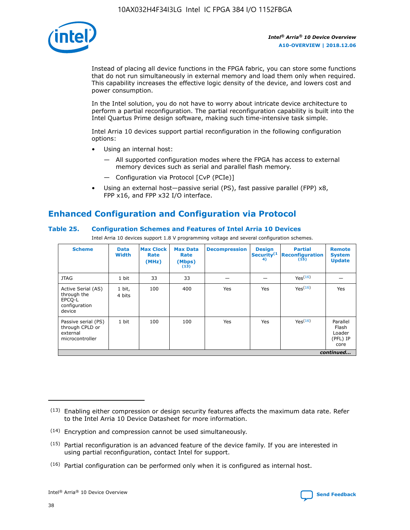

Instead of placing all device functions in the FPGA fabric, you can store some functions that do not run simultaneously in external memory and load them only when required. This capability increases the effective logic density of the device, and lowers cost and power consumption.

In the Intel solution, you do not have to worry about intricate device architecture to perform a partial reconfiguration. The partial reconfiguration capability is built into the Intel Quartus Prime design software, making such time-intensive task simple.

Intel Arria 10 devices support partial reconfiguration in the following configuration options:

- Using an internal host:
	- All supported configuration modes where the FPGA has access to external memory devices such as serial and parallel flash memory.
	- Configuration via Protocol [CvP (PCIe)]
- Using an external host—passive serial (PS), fast passive parallel (FPP) x8, FPP x16, and FPP x32 I/O interface.

## **Enhanced Configuration and Configuration via Protocol**

#### **Table 25. Configuration Schemes and Features of Intel Arria 10 Devices**

Intel Arria 10 devices support 1.8 V programming voltage and several configuration schemes.

| <b>Scheme</b>                                                          | <b>Data</b><br><b>Width</b> | <b>Max Clock</b><br>Rate<br>(MHz) | <b>Max Data</b><br>Rate<br>(Mbps)<br>(13) | <b>Decompression</b> | <b>Design</b><br>Security <sup>(1</sup><br>4) | <b>Partial</b><br><b>Reconfiguration</b><br>(15) | <b>Remote</b><br><b>System</b><br><b>Update</b> |
|------------------------------------------------------------------------|-----------------------------|-----------------------------------|-------------------------------------------|----------------------|-----------------------------------------------|--------------------------------------------------|-------------------------------------------------|
| <b>JTAG</b>                                                            | 1 bit                       | 33                                | 33                                        |                      |                                               | Yes <sup>(16)</sup>                              |                                                 |
| Active Serial (AS)<br>through the<br>EPCO-L<br>configuration<br>device | 1 bit,<br>4 bits            | 100                               | 400                                       | Yes                  | Yes                                           | $Y_{PS}(16)$                                     | Yes                                             |
| Passive serial (PS)<br>through CPLD or<br>external<br>microcontroller  | 1 bit                       | 100                               | 100                                       | Yes                  | Yes                                           | Yes(16)                                          | Parallel<br>Flash<br>Loader<br>(PFL) IP<br>core |
|                                                                        |                             |                                   |                                           |                      |                                               |                                                  | continued                                       |

<sup>(13)</sup> Enabling either compression or design security features affects the maximum data rate. Refer to the Intel Arria 10 Device Datasheet for more information.

<sup>(14)</sup> Encryption and compression cannot be used simultaneously.

 $(15)$  Partial reconfiguration is an advanced feature of the device family. If you are interested in using partial reconfiguration, contact Intel for support.

 $(16)$  Partial configuration can be performed only when it is configured as internal host.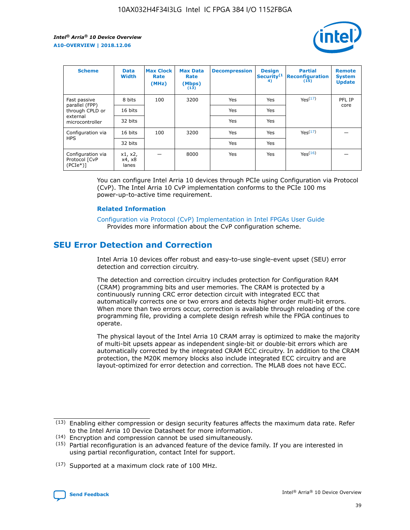

| <b>Scheme</b>                                   | <b>Data</b><br><b>Width</b> | <b>Max Clock</b><br>Rate<br>(MHz) | <b>Max Data</b><br>Rate<br>(Mbps)<br>(13) | <b>Decompression</b> | <b>Design</b><br>Security <sup>(1</sup><br>4) | <b>Partial</b><br><b>Reconfiguration</b><br>(15) | <b>Remote</b><br><b>System</b><br><b>Update</b> |
|-------------------------------------------------|-----------------------------|-----------------------------------|-------------------------------------------|----------------------|-----------------------------------------------|--------------------------------------------------|-------------------------------------------------|
| Fast passive                                    | 8 bits                      | 100                               | 3200                                      | Yes                  | Yes                                           | Yes(17)                                          | PFL IP                                          |
| parallel (FPP)<br>through CPLD or               | 16 bits                     |                                   |                                           | Yes                  | Yes                                           |                                                  | core                                            |
| external<br>microcontroller                     | 32 bits                     |                                   |                                           | Yes                  | Yes                                           |                                                  |                                                 |
| Configuration via                               | 16 bits                     | 100                               | 3200                                      | Yes                  | Yes                                           | Yes <sup>(17)</sup>                              |                                                 |
| <b>HPS</b>                                      | 32 bits                     |                                   |                                           | Yes                  | Yes                                           |                                                  |                                                 |
| Configuration via<br>Protocol [CvP<br>$(PCIe*)$ | x1, x2,<br>x4, x8<br>lanes  |                                   | 8000                                      | Yes                  | Yes                                           | Yes(16)                                          |                                                 |

You can configure Intel Arria 10 devices through PCIe using Configuration via Protocol (CvP). The Intel Arria 10 CvP implementation conforms to the PCIe 100 ms power-up-to-active time requirement.

#### **Related Information**

[Configuration via Protocol \(CvP\) Implementation in Intel FPGAs User Guide](https://www.intel.com/content/www/us/en/programmable/documentation/dsu1441819344145.html#dsu1442269728522) Provides more information about the CvP configuration scheme.

## **SEU Error Detection and Correction**

Intel Arria 10 devices offer robust and easy-to-use single-event upset (SEU) error detection and correction circuitry.

The detection and correction circuitry includes protection for Configuration RAM (CRAM) programming bits and user memories. The CRAM is protected by a continuously running CRC error detection circuit with integrated ECC that automatically corrects one or two errors and detects higher order multi-bit errors. When more than two errors occur, correction is available through reloading of the core programming file, providing a complete design refresh while the FPGA continues to operate.

The physical layout of the Intel Arria 10 CRAM array is optimized to make the majority of multi-bit upsets appear as independent single-bit or double-bit errors which are automatically corrected by the integrated CRAM ECC circuitry. In addition to the CRAM protection, the M20K memory blocks also include integrated ECC circuitry and are layout-optimized for error detection and correction. The MLAB does not have ECC.

(14) Encryption and compression cannot be used simultaneously.

<sup>(17)</sup> Supported at a maximum clock rate of 100 MHz.



 $(13)$  Enabling either compression or design security features affects the maximum data rate. Refer to the Intel Arria 10 Device Datasheet for more information.

 $(15)$  Partial reconfiguration is an advanced feature of the device family. If you are interested in using partial reconfiguration, contact Intel for support.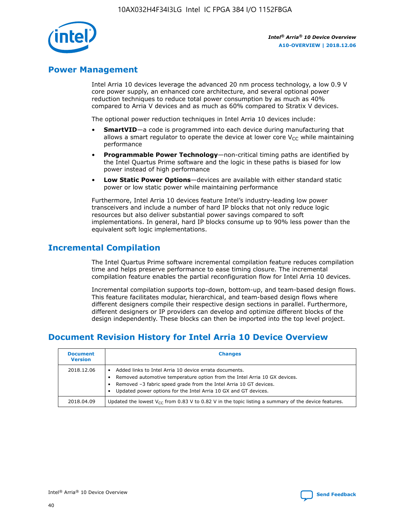

## **Power Management**

Intel Arria 10 devices leverage the advanced 20 nm process technology, a low 0.9 V core power supply, an enhanced core architecture, and several optional power reduction techniques to reduce total power consumption by as much as 40% compared to Arria V devices and as much as 60% compared to Stratix V devices.

The optional power reduction techniques in Intel Arria 10 devices include:

- **SmartVID**—a code is programmed into each device during manufacturing that allows a smart regulator to operate the device at lower core  $V_{CC}$  while maintaining performance
- **Programmable Power Technology**—non-critical timing paths are identified by the Intel Quartus Prime software and the logic in these paths is biased for low power instead of high performance
- **Low Static Power Options**—devices are available with either standard static power or low static power while maintaining performance

Furthermore, Intel Arria 10 devices feature Intel's industry-leading low power transceivers and include a number of hard IP blocks that not only reduce logic resources but also deliver substantial power savings compared to soft implementations. In general, hard IP blocks consume up to 90% less power than the equivalent soft logic implementations.

## **Incremental Compilation**

The Intel Quartus Prime software incremental compilation feature reduces compilation time and helps preserve performance to ease timing closure. The incremental compilation feature enables the partial reconfiguration flow for Intel Arria 10 devices.

Incremental compilation supports top-down, bottom-up, and team-based design flows. This feature facilitates modular, hierarchical, and team-based design flows where different designers compile their respective design sections in parallel. Furthermore, different designers or IP providers can develop and optimize different blocks of the design independently. These blocks can then be imported into the top level project.

## **Document Revision History for Intel Arria 10 Device Overview**

| <b>Document</b><br><b>Version</b> | <b>Changes</b>                                                                                                                                                                                                                                                              |
|-----------------------------------|-----------------------------------------------------------------------------------------------------------------------------------------------------------------------------------------------------------------------------------------------------------------------------|
| 2018.12.06                        | Added links to Intel Arria 10 device errata documents.<br>Removed automotive temperature option from the Intel Arria 10 GX devices.<br>Removed -3 fabric speed grade from the Intel Arria 10 GT devices.<br>Updated power options for the Intel Arria 10 GX and GT devices. |
| 2018.04.09                        | Updated the lowest $V_{CC}$ from 0.83 V to 0.82 V in the topic listing a summary of the device features.                                                                                                                                                                    |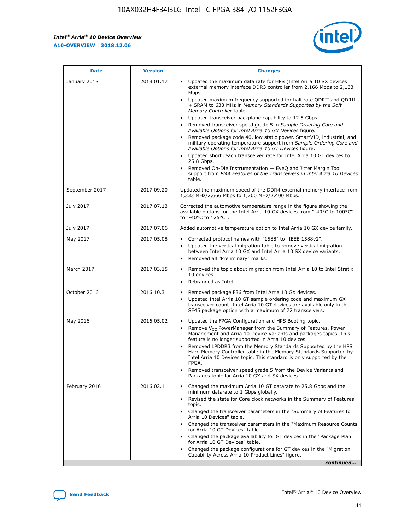

| <b>Date</b>    | <b>Version</b> | <b>Changes</b>                                                                                                                                                                                                                                                                                                                                                                                                                                                                                                                                                                                                                                                                                                                                                                                                                                                                                                                                               |
|----------------|----------------|--------------------------------------------------------------------------------------------------------------------------------------------------------------------------------------------------------------------------------------------------------------------------------------------------------------------------------------------------------------------------------------------------------------------------------------------------------------------------------------------------------------------------------------------------------------------------------------------------------------------------------------------------------------------------------------------------------------------------------------------------------------------------------------------------------------------------------------------------------------------------------------------------------------------------------------------------------------|
| January 2018   | 2018.01.17     | Updated the maximum data rate for HPS (Intel Arria 10 SX devices<br>external memory interface DDR3 controller from 2,166 Mbps to 2,133<br>Mbps.<br>Updated maximum frequency supported for half rate QDRII and QDRII<br>+ SRAM to 633 MHz in Memory Standards Supported by the Soft<br>Memory Controller table.<br>Updated transceiver backplane capability to 12.5 Gbps.<br>Removed transceiver speed grade 5 in Sample Ordering Core and<br>Available Options for Intel Arria 10 GX Devices figure.<br>Removed package code 40, low static power, SmartVID, industrial, and<br>military operating temperature support from Sample Ordering Core and<br>Available Options for Intel Arria 10 GT Devices figure.<br>Updated short reach transceiver rate for Intel Arria 10 GT devices to<br>25.8 Gbps.<br>Removed On-Die Instrumentation - EyeQ and Jitter Margin Tool<br>support from PMA Features of the Transceivers in Intel Arria 10 Devices<br>table. |
| September 2017 | 2017.09.20     | Updated the maximum speed of the DDR4 external memory interface from<br>1,333 MHz/2,666 Mbps to 1,200 MHz/2,400 Mbps.                                                                                                                                                                                                                                                                                                                                                                                                                                                                                                                                                                                                                                                                                                                                                                                                                                        |
| July 2017      | 2017.07.13     | Corrected the automotive temperature range in the figure showing the<br>available options for the Intel Arria 10 GX devices from "-40°C to 100°C"<br>to "-40°C to 125°C".                                                                                                                                                                                                                                                                                                                                                                                                                                                                                                                                                                                                                                                                                                                                                                                    |
| July 2017      | 2017.07.06     | Added automotive temperature option to Intel Arria 10 GX device family.                                                                                                                                                                                                                                                                                                                                                                                                                                                                                                                                                                                                                                                                                                                                                                                                                                                                                      |
| May 2017       | 2017.05.08     | Corrected protocol names with "1588" to "IEEE 1588v2".<br>Updated the vertical migration table to remove vertical migration<br>$\bullet$<br>between Intel Arria 10 GX and Intel Arria 10 SX device variants.<br>Removed all "Preliminary" marks.                                                                                                                                                                                                                                                                                                                                                                                                                                                                                                                                                                                                                                                                                                             |
| March 2017     | 2017.03.15     | Removed the topic about migration from Intel Arria 10 to Intel Stratix<br>10 devices.<br>Rebranded as Intel.<br>$\bullet$                                                                                                                                                                                                                                                                                                                                                                                                                                                                                                                                                                                                                                                                                                                                                                                                                                    |
| October 2016   | 2016.10.31     | Removed package F36 from Intel Arria 10 GX devices.<br>Updated Intel Arria 10 GT sample ordering code and maximum GX<br>$\bullet$<br>transceiver count. Intel Arria 10 GT devices are available only in the<br>SF45 package option with a maximum of 72 transceivers.                                                                                                                                                                                                                                                                                                                                                                                                                                                                                                                                                                                                                                                                                        |
| May 2016       | 2016.05.02     | Updated the FPGA Configuration and HPS Booting topic.<br>$\bullet$<br>Remove V <sub>CC</sub> PowerManager from the Summary of Features, Power<br>Management and Arria 10 Device Variants and packages topics. This<br>feature is no longer supported in Arria 10 devices.<br>Removed LPDDR3 from the Memory Standards Supported by the HPS<br>Hard Memory Controller table in the Memory Standards Supported by<br>Intel Arria 10 Devices topic. This standard is only supported by the<br>FPGA.<br>Removed transceiver speed grade 5 from the Device Variants and<br>Packages topic for Arria 10 GX and SX devices.                                                                                                                                                                                                                                                                                                                                         |
| February 2016  | 2016.02.11     | Changed the maximum Arria 10 GT datarate to 25.8 Gbps and the<br>minimum datarate to 1 Gbps globally.<br>Revised the state for Core clock networks in the Summary of Features<br>topic.<br>Changed the transceiver parameters in the "Summary of Features for<br>Arria 10 Devices" table.<br>Changed the transceiver parameters in the "Maximum Resource Counts"<br>for Arria 10 GT Devices" table.<br>Changed the package availability for GT devices in the "Package Plan<br>for Arria 10 GT Devices" table.<br>Changed the package configurations for GT devices in the "Migration"<br>Capability Across Arria 10 Product Lines" figure.<br>continued                                                                                                                                                                                                                                                                                                     |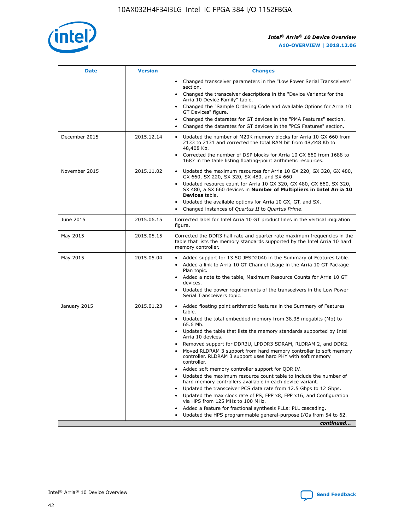

| <b>Date</b>   | <b>Version</b> | <b>Changes</b>                                                                                                                                                                   |
|---------------|----------------|----------------------------------------------------------------------------------------------------------------------------------------------------------------------------------|
|               |                | • Changed transceiver parameters in the "Low Power Serial Transceivers"<br>section.                                                                                              |
|               |                | • Changed the transceiver descriptions in the "Device Variants for the<br>Arria 10 Device Family" table.                                                                         |
|               |                | Changed the "Sample Ordering Code and Available Options for Arria 10<br>GT Devices" figure.                                                                                      |
|               |                | Changed the datarates for GT devices in the "PMA Features" section.                                                                                                              |
|               |                | Changed the datarates for GT devices in the "PCS Features" section.<br>$\bullet$                                                                                                 |
| December 2015 | 2015.12.14     | Updated the number of M20K memory blocks for Arria 10 GX 660 from<br>$\bullet$<br>2133 to 2131 and corrected the total RAM bit from 48,448 Kb to<br>48,408 Kb.                   |
|               |                | Corrected the number of DSP blocks for Arria 10 GX 660 from 1688 to<br>$\bullet$<br>1687 in the table listing floating-point arithmetic resources.                               |
| November 2015 | 2015.11.02     | Updated the maximum resources for Arria 10 GX 220, GX 320, GX 480,<br>$\bullet$<br>GX 660, SX 220, SX 320, SX 480, and SX 660.                                                   |
|               |                | Updated resource count for Arria 10 GX 320, GX 480, GX 660, SX 320,<br>$\bullet$<br>SX 480, a SX 660 devices in Number of Multipliers in Intel Arria 10<br><b>Devices</b> table. |
|               |                | Updated the available options for Arria 10 GX, GT, and SX.<br>$\bullet$                                                                                                          |
|               |                | Changed instances of Quartus II to Quartus Prime.<br>$\bullet$                                                                                                                   |
| June 2015     | 2015.06.15     | Corrected label for Intel Arria 10 GT product lines in the vertical migration<br>figure.                                                                                         |
| May 2015      | 2015.05.15     | Corrected the DDR3 half rate and quarter rate maximum frequencies in the<br>table that lists the memory standards supported by the Intel Arria 10 hard<br>memory controller.     |
| May 2015      | 2015.05.04     | • Added support for 13.5G JESD204b in the Summary of Features table.<br>• Added a link to Arria 10 GT Channel Usage in the Arria 10 GT Package<br>Plan topic.                    |
|               |                | • Added a note to the table, Maximum Resource Counts for Arria 10 GT<br>devices.                                                                                                 |
|               |                | Updated the power requirements of the transceivers in the Low Power<br>Serial Transceivers topic.                                                                                |
| January 2015  | 2015.01.23     | • Added floating point arithmetic features in the Summary of Features<br>table.                                                                                                  |
|               |                | • Updated the total embedded memory from 38.38 megabits (Mb) to<br>65.6 Mb.                                                                                                      |
|               |                | • Updated the table that lists the memory standards supported by Intel<br>Arria 10 devices.                                                                                      |
|               |                | Removed support for DDR3U, LPDDR3 SDRAM, RLDRAM 2, and DDR2.                                                                                                                     |
|               |                | Moved RLDRAM 3 support from hard memory controller to soft memory<br>controller. RLDRAM 3 support uses hard PHY with soft memory<br>controller.                                  |
|               |                | Added soft memory controller support for QDR IV.                                                                                                                                 |
|               |                | Updated the maximum resource count table to include the number of<br>hard memory controllers available in each device variant.                                                   |
|               |                | Updated the transceiver PCS data rate from 12.5 Gbps to 12 Gbps.<br>$\bullet$                                                                                                    |
|               |                | Updated the max clock rate of PS, FPP x8, FPP x16, and Configuration<br>via HPS from 125 MHz to 100 MHz.                                                                         |
|               |                | Added a feature for fractional synthesis PLLs: PLL cascading.                                                                                                                    |
|               |                | Updated the HPS programmable general-purpose I/Os from 54 to 62.                                                                                                                 |
|               |                | continued                                                                                                                                                                        |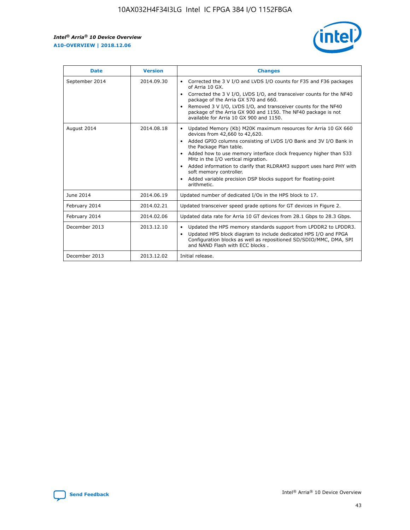r



| <b>Date</b>    | <b>Version</b> | <b>Changes</b>                                                                                                                                                                                                                                                                                                                                                                                                                                                                                                                         |
|----------------|----------------|----------------------------------------------------------------------------------------------------------------------------------------------------------------------------------------------------------------------------------------------------------------------------------------------------------------------------------------------------------------------------------------------------------------------------------------------------------------------------------------------------------------------------------------|
| September 2014 | 2014.09.30     | Corrected the 3 V I/O and LVDS I/O counts for F35 and F36 packages<br>of Arria 10 GX.<br>Corrected the 3 V I/O, LVDS I/O, and transceiver counts for the NF40<br>$\bullet$<br>package of the Arria GX 570 and 660.<br>Removed 3 V I/O, LVDS I/O, and transceiver counts for the NF40<br>package of the Arria GX 900 and 1150. The NF40 package is not<br>available for Arria 10 GX 900 and 1150.                                                                                                                                       |
| August 2014    | 2014.08.18     | Updated Memory (Kb) M20K maximum resources for Arria 10 GX 660<br>devices from 42,660 to 42,620.<br>Added GPIO columns consisting of LVDS I/O Bank and 3V I/O Bank in<br>$\bullet$<br>the Package Plan table.<br>Added how to use memory interface clock frequency higher than 533<br>$\bullet$<br>MHz in the I/O vertical migration.<br>Added information to clarify that RLDRAM3 support uses hard PHY with<br>$\bullet$<br>soft memory controller.<br>Added variable precision DSP blocks support for floating-point<br>arithmetic. |
| June 2014      | 2014.06.19     | Updated number of dedicated I/Os in the HPS block to 17.                                                                                                                                                                                                                                                                                                                                                                                                                                                                               |
| February 2014  | 2014.02.21     | Updated transceiver speed grade options for GT devices in Figure 2.                                                                                                                                                                                                                                                                                                                                                                                                                                                                    |
| February 2014  | 2014.02.06     | Updated data rate for Arria 10 GT devices from 28.1 Gbps to 28.3 Gbps.                                                                                                                                                                                                                                                                                                                                                                                                                                                                 |
| December 2013  | 2013.12.10     | Updated the HPS memory standards support from LPDDR2 to LPDDR3.<br>Updated HPS block diagram to include dedicated HPS I/O and FPGA<br>$\bullet$<br>Configuration blocks as well as repositioned SD/SDIO/MMC, DMA, SPI<br>and NAND Flash with ECC blocks.                                                                                                                                                                                                                                                                               |
| December 2013  | 2013.12.02     | Initial release.                                                                                                                                                                                                                                                                                                                                                                                                                                                                                                                       |